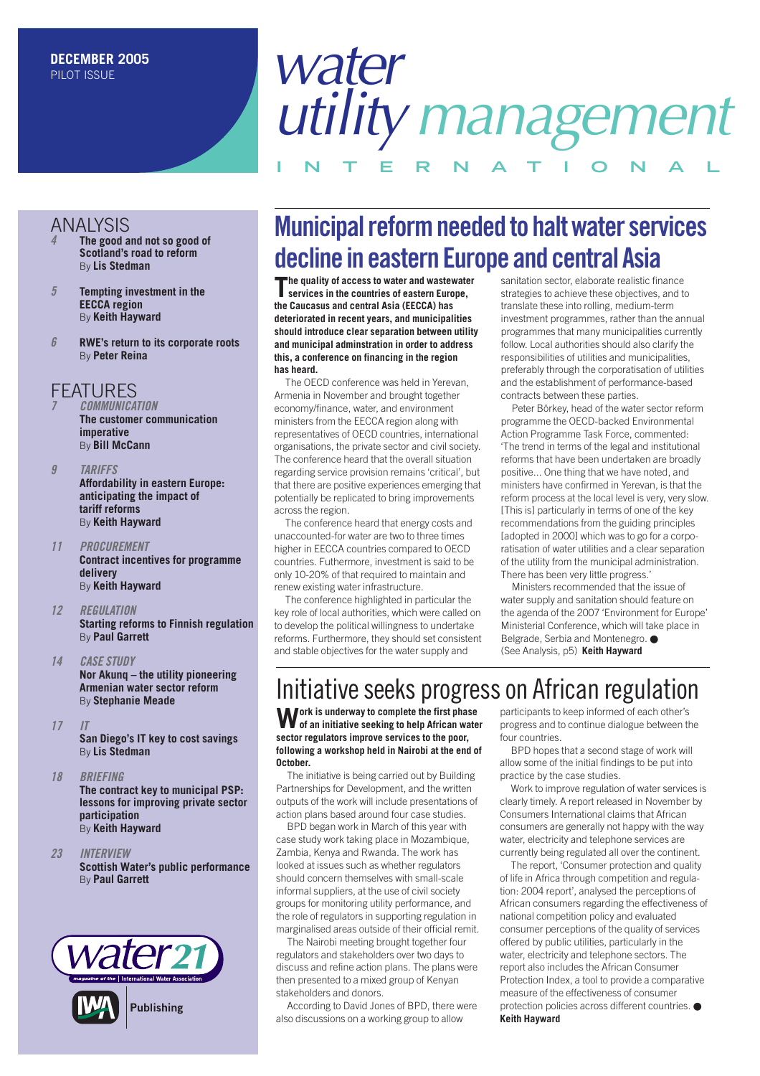## *water utilitymanagement* **INTERNAT IONAL**

#### ANALYSIS

- *4* **The good and not so good of Scotland's road to reform** By **Lis Stedman**
- *5* **Tempting investment in the EECCA region** By **Keith Hayward**
- *6* **RWE's return to its corporate roots** By **Peter Reina**

#### **FFATURES**

*7 COMMUNICATION* **The customer communication imperative** By **Bill McCann**

- *9 TARIFFS* **Affordability in eastern Europe: anticipating the impact of tariff reforms** By **Keith Hayward**
- *11 PROCUREMENT* **Contract incentives for programme delivery** By **Keith Hayward**
- *12 REGULATION* **Starting reforms to Finnish regulation** By **Paul Garrett**
- *14 CASE STUDY* **Nor Akunq – the utility pioneering Armenian water sector reform** By **Stephanie Meade**
- *17 IT* **San Diego's IT key to cost savings** By **Lis Stedman**
- *18 BRIEFING* **The contract key to municipal PSP: lessons for improving private sector participation** By **Keith Hayward**
- *23 INTERVIEW* **Scottish Water's public performance** By **Paul Garrett**



### **Municipal reform needed to halt water services decline in eastern Europe and central Asia**<br>The quality of access to water and wastewater santitation sector, elaborate realistic fire

**The quality of access to water and wastewater services in the countries of eastern Europe, the Caucasus and central Asia (EECCA) has deteriorated in recent years, and municipalities should introduce clear separation between utility and municipal adminstration in order to address this, a conference on financing in the region has heard.** 

The OECD conference was held in Yerevan, Armenia in November and brought together economy/finance, water, and environment ministers from the EECCA region along with representatives of OECD countries, international organisations, the private sector and civil society. The conference heard that the overall situation regarding service provision remains 'critical', but that there are positive experiences emerging that potentially be replicated to bring improvements across the region.

The conference heard that energy costs and unaccounted-for water are two to three times higher in EECCA countries compared to OECD countries. Futhermore, investment is said to be only 10-20% of that required to maintain and renew existing water infrastructure.

The conference highlighted in particular the key role of local authorities, which were called on to develop the political willingness to undertake reforms. Furthermore, they should set consistent and stable objectives for the water supply and

sanitation sector, elaborate realistic finance strategies to achieve these objectives, and to translate these into rolling, medium-term investment programmes, rather than the annual programmes that many municipalities currently follow. Local authorities should also clarify the responsibilities of utilities and municipalities, preferably through the corporatisation of utilities and the establishment of performance-based contracts between these parties.

Peter Börkey, head of the water sector reform programme the OECD-backed Environmental Action Programme Task Force, commented: 'The trend in terms of the legal and institutional reforms that have been undertaken are broadly positive... One thing that we have noted, and ministers have confirmed in Yerevan, is that the reform process at the local level is very, very slow. [This is] particularly in terms of one of the key recommendations from the guiding principles [adopted in 2000] which was to go for a corporatisation of water utilities and a clear separation of the utility from the municipal administration. There has been very little progress.'

Ministers recommended that the issue of water supply and sanitation should feature on the agenda of the 2007 'Environment for Europe' Ministerial Conference, which will take place in Belgrade, Serbia and Montenegro. ● (See Analysis, p5) **Keith Hayward** 

### Initiative seeks progress on African regulation

**Work is underway to complete the first phase of an initiative seeking to help African water sector regulators improve services to the poor, following a workshop held in Nairobi at the end of October.**

The initiative is being carried out by Building Partnerships for Development, and the written outputs of the work will include presentations of action plans based around four case studies.

BPD began work in March of this year with case study work taking place in Mozambique, Zambia, Kenya and Rwanda. The work has looked at issues such as whether regulators should concern themselves with small-scale informal suppliers, at the use of civil society groups for monitoring utility performance, and the role of regulators in supporting regulation in marginalised areas outside of their official remit.

The Nairobi meeting brought together four regulators and stakeholders over two days to discuss and refine action plans. The plans were then presented to a mixed group of Kenyan stakeholders and donors.

According to David Jones of BPD, there were also discussions on a working group to allow

participants to keep informed of each other's progress and to continue dialogue between the four countries.

BPD hopes that a second stage of work will allow some of the initial findings to be put into practice by the case studies.

Work to improve regulation of water services is clearly timely. A report released in November by Consumers International claims that African consumers are generally not happy with the way water, electricity and telephone services are currently being regulated all over the continent.

The report, 'Consumer protection and quality of life in Africa through competition and regulation: 2004 report', analysed the perceptions of African consumers regarding the effectiveness of national competition policy and evaluated consumer perceptions of the quality of services offered by public utilities, particularly in the water, electricity and telephone sectors. The report also includes the African Consumer Protection Index, a tool to provide a comparative measure of the effectiveness of consumer protection policies across different countries. ● **Keith Hayward**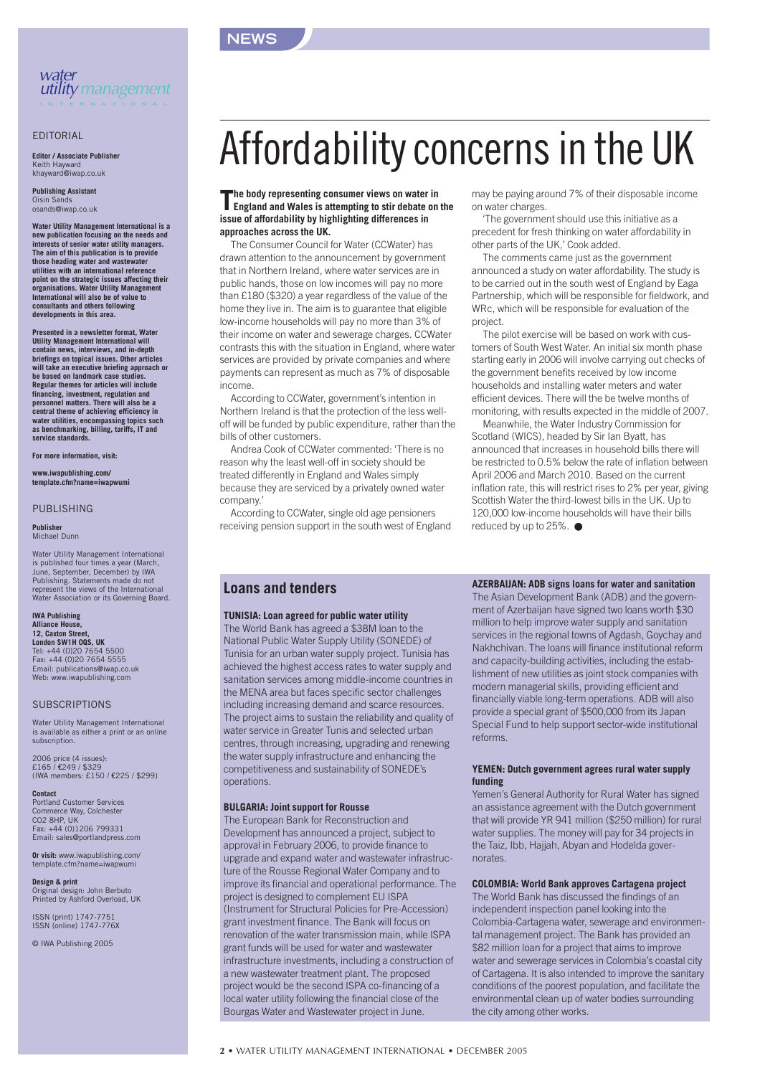



#### EDITORIAL

**Editor / Associate Publisher** Keith Hayward khayward@iwap.co.uk

**Publishing Assistant** Oisin Sa osands@iwap.co.uk

**Water Utility Management International is a new publication focusing on the needs and interests of senior water utility managers. The aim of this publication is to provide those heading water and wastewater utilities with an international reference point on the strategic issues affecting their organisations. Water Utility Management International will also be of value to consultants and others following developments in this area.**

**Presented in a newsletter format, Water Utility Management International will contain news, interviews, and in-depth briefings on topical issues. Other articles will take an executive briefing approach or be based on landmark case studies. Regular themes for articles will include**<br>financing, investment, regulation and **financing, investment, regulation and personnel matters. There will also be a central theme of achieving efficiency in water utilities, encompassing topics such as benchmarking, billing, tariffs, IT and service standards.**

**For more information, visit:**

**www.iwapublishing.com/ template.cfm?name=iwapwumi**

#### PUBLISHING

**Publisher** Michael Dunn

Water Utility Management International is published four times a year (March, June, September, December) by IWA Publishing. Statements made do not represent the views of the International Water Association or its Governing Board.

#### **IWA Publishing Alliance House, 12, Caxton Street, London SW1H 0QS, UK**

Tel: +44 (0)20 7654 5500 Fax: +44 (0)20 7654 5555 Email: publications@iwap.co.uk Web: www.iwapublishing.com

#### **SUBSCRIPTIONS**

Water Utility Management International is available as either a print or an online subscription.

2006 price (4 issues): £165 / €249 / \$329 (IWA members: £150 / €225 / \$299)

**Contact** Portland Customer Services Commerce Way, Colchester CO2 8HP, UK Fax: +44 (0)1206 799331 Email: sales@portlandpress.com

**Or visit:** www.iwapublishing.com/ template.cfm?name=iwapwumi

**Design & print** Original design: John Berbuto Printed by Ashford Overload, UK

ISSN (print) 1747-7751 ISSN (online) 1747-776X

© IWA Publishing 2005

## Affordability concerns in the UK

#### **The body representing consumer views on water in England and Wales is attempting to stir debate on the issue of affordability by highlighting differences in approaches across the UK.**

The Consumer Council for Water (CCWater) has drawn attention to the announcement by government that in Northern Ireland, where water services are in public hands, those on low incomes will pay no more than £180 (\$320) a year regardless of the value of the home they live in. The aim is to guarantee that eligible low-income households will pay no more than 3% of their income on water and sewerage charges. CCWater contrasts this with the situation in England, where water services are provided by private companies and where payments can represent as much as 7% of disposable income.

According to CCWater, government's intention in Northern Ireland is that the protection of the less welloff will be funded by public expenditure, rather than the bills of other customers.

Andrea Cook of CCWater commented: 'There is no reason why the least well-off in society should be treated differently in England and Wales simply because they are serviced by a privately owned water company.'

According to CCWater, single old age pensioners receiving pension support in the south west of England may be paying around 7% of their disposable income on water charges.

'The government should use this initiative as a precedent for fresh thinking on water affordability in other parts of the UK,' Cook added.

The comments came just as the government announced a study on water affordability. The study is to be carried out in the south west of England by Eaga Partnership, which will be responsible for fieldwork, and WRc, which will be responsible for evaluation of the project.

The pilot exercise will be based on work with customers of South West Water. An initial six month phase starting early in 2006 will involve carrying out checks of the government benefits received by low income households and installing water meters and water efficient devices. There will the be twelve months of monitoring, with results expected in the middle of 2007.

Meanwhile, the Water Industry Commission for Scotland (WICS), headed by Sir Ian Byatt, has announced that increases in household bills there will be restricted to 0.5% below the rate of inflation between April 2006 and March 2010. Based on the current inflation rate, this will restrict rises to 2% per year, giving Scottish Water the third-lowest bills in the UK. Up to 120,000 low-income households will have their bills reduced by up to 25%. ●

#### **Loans and tenders**

#### **TUNISIA: Loan agreed for public water utility**

The World Bank has agreed a \$38M loan to the National Public Water Supply Utility (SONEDE) of Tunisia for an urban water supply project. Tunisia has achieved the highest access rates to water supply and sanitation services among middle-income countries in the MENA area but faces specific sector challenges including increasing demand and scarce resources. The project aims to sustain the reliability and quality of water service in Greater Tunis and selected urban centres, through increasing, upgrading and renewing the water supply infrastructure and enhancing the competitiveness and sustainability of SONEDE's operations.

#### **BULGARIA: Joint support for Rousse**

The European Bank for Reconstruction and Development has announced a project, subject to approval in February 2006, to provide finance to upgrade and expand water and wastewater infrastructure of the Rousse Regional Water Company and to improve its financial and operational performance. The project is designed to complement EU ISPA (Instrument for Structural Policies for Pre-Accession) grant investment finance. The Bank will focus on renovation of the water transmission main, while ISPA grant funds will be used for water and wastewater infrastructure investments, including a construction of a new wastewater treatment plant. The proposed project would be the second ISPA co-financing of a local water utility following the financial close of the Bourgas Water and Wastewater project in June.

**AZERBAIJAN: ADB signs loans for water and sanitation** The Asian Development Bank (ADB) and the government of Azerbaijan have signed two loans worth \$30 million to help improve water supply and sanitation services in the regional towns of Agdash, Goychay and Nakhchivan. The loans will finance institutional reform and capacity-building activities, including the establishment of new utilities as joint stock companies with modern managerial skills, providing efficient and financially viable long-term operations. ADB will also provide a special grant of \$500,000 from its Japan Special Fund to help support sector-wide institutional reforms.

#### **YEMEN: Dutch government agrees rural water supply funding**

Yemen's General Authority for Rural Water has signed an assistance agreement with the Dutch government that will provide YR 941 million (\$250 million) for rural water supplies. The money will pay for 34 projects in the Taiz, Ibb, Hajjah, Abyan and Hodelda governorates.

#### **COLOMBIA: World Bank approves Cartagena project**

The World Bank has discussed the findings of an independent inspection panel looking into the Colombia-Cartagena water, sewerage and environmental management project. The Bank has provided an \$82 million loan for a project that aims to improve water and sewerage services in Colombia's coastal city of Cartagena. It is also intended to improve the sanitary conditions of the poorest population, and facilitate the environmental clean up of water bodies surrounding the city among other works.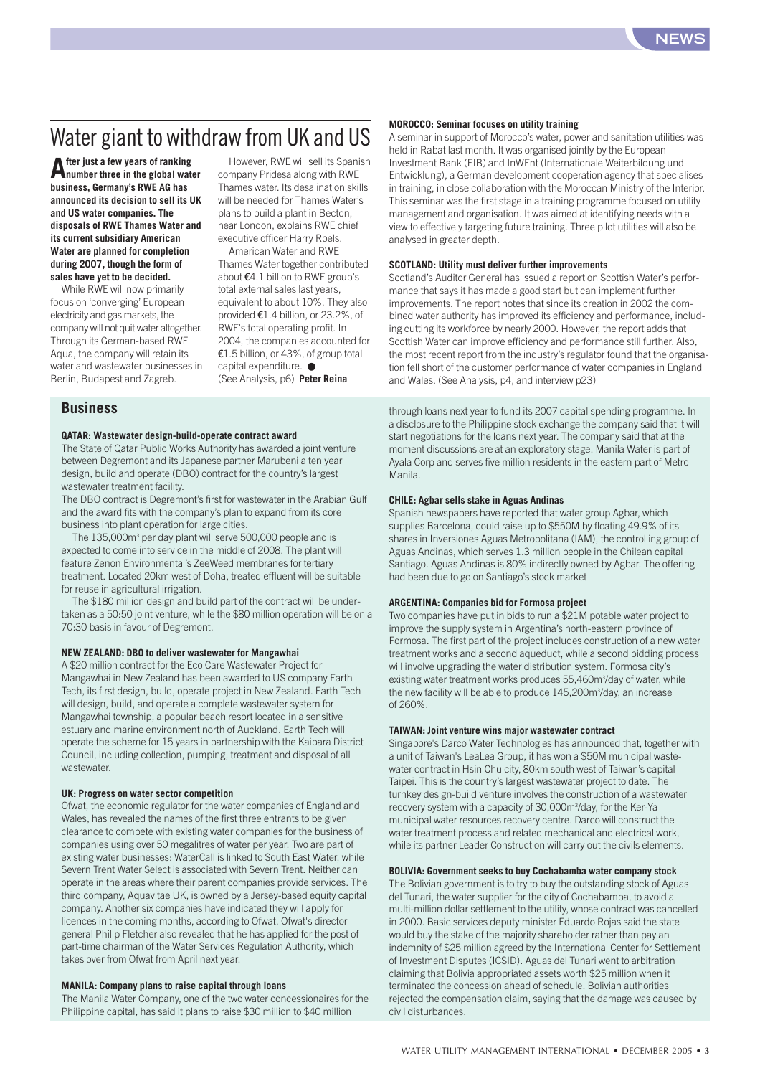### Water giant to withdraw from UK and US

**After just a few years of ranking number three in the global water business, Germany's RWE AG has announced its decision to sell its UK and US water companies. The disposals of RWE Thames Water and its current subsidiary American Water are planned for completion during 2007, though the form of sales have yet to be decided.**

While RWE will now primarily focus on 'converging' European electricity and gas markets, the company will not quit water altogether. Through its German-based RWE Aqua, the company will retain its water and wastewater businesses in Berlin, Budapest and Zagreb.

However, RWE will sell its Spanish company Pridesa along with RWE Thames water. Its desalination skills will be needed for Thames Water's plans to build a plant in Becton, near London, explains RWE chief executive officer Harry Roels.

American Water and RWE Thames Water together contributed about €4.1 billion to RWE group's total external sales last years, equivalent to about 10%. They also provided €1.4 billion, or 23.2%, of RWE's total operating profit. In 2004, the companies accounted for €1.5 billion, or 43%, of group total capital expenditure. ● (See Analysis, p6) **Peter Reina**

#### **Business**

#### **QATAR: Wastewater design-build-operate contract award**

The State of Qatar Public Works Authority has awarded a joint venture between Degremont and its Japanese partner Marubeni a ten year design, build and operate (DBO) contract for the country's largest wastewater treatment facility.

The DBO contract is Degremont's first for wastewater in the Arabian Gulf and the award fits with the company's plan to expand from its core business into plant operation for large cities.

The 135,000m<sup>3</sup> per day plant will serve 500,000 people and is expected to come into service in the middle of 2008. The plant will feature Zenon Environmental's ZeeWeed membranes for tertiary treatment. Located 20km west of Doha, treated effluent will be suitable for reuse in agricultural irrigation.

The \$180 million design and build part of the contract will be undertaken as a 50:50 joint venture, while the \$80 million operation will be on a 70:30 basis in favour of Degremont.

#### **NEW ZEALAND: DBO to deliver wastewater for Mangawhai**

A \$20 million contract for the Eco Care Wastewater Project for Mangawhai in New Zealand has been awarded to US company Earth Tech, its first design, build, operate project in New Zealand. Earth Tech will design, build, and operate a complete wastewater system for Mangawhai township, a popular beach resort located in a sensitive estuary and marine environment north of Auckland. Earth Tech will operate the scheme for 15 years in partnership with the Kaipara District Council, including collection, pumping, treatment and disposal of all wastewater.

#### **UK: Progress on water sector competition**

Ofwat, the economic regulator for the water companies of England and Wales, has revealed the names of the first three entrants to be given clearance to compete with existing water companies for the business of companies using over 50 megalitres of water per year. Two are part of existing water businesses: WaterCall is linked to South East Water, while Severn Trent Water Select is associated with Severn Trent. Neither can operate in the areas where their parent companies provide services. The third company, Aquavitae UK, is owned by a Jersey-based equity capital company. Another six companies have indicated they will apply for licences in the coming months, according to Ofwat. Ofwat's director general Philip Fletcher also revealed that he has applied for the post of part-time chairman of the Water Services Regulation Authority, which takes over from Ofwat from April next year.

#### **MANILA: Company plans to raise capital through loans**

The Manila Water Company, one of the two water concessionaires for the Philippine capital, has said it plans to raise \$30 million to \$40 million

#### **MOROCCO: Seminar focuses on utility training**

A seminar in support of Morocco's water, power and sanitation utilities was held in Rabat last month. It was organised jointly by the European Investment Bank (EIB) and InWEnt (Internationale Weiterbildung und Entwicklung), a German development cooperation agency that specialises in training, in close collaboration with the Moroccan Ministry of the Interior. This seminar was the first stage in a training programme focused on utility management and organisation. It was aimed at identifying needs with a view to effectively targeting future training. Three pilot utilities will also be analysed in greater depth.

#### **SCOTLAND: Utility must deliver further improvements**

Scotland's Auditor General has issued a report on Scottish Water's performance that says it has made a good start but can implement further improvements. The report notes that since its creation in 2002 the combined water authority has improved its efficiency and performance, including cutting its workforce by nearly 2000. However, the report adds that Scottish Water can improve efficiency and performance still further. Also, the most recent report from the industry's regulator found that the organisation fell short of the customer performance of water companies in England and Wales. (See Analysis, p4, and interview p23)

through loans next year to fund its 2007 capital spending programme. In a disclosure to the Philippine stock exchange the company said that it will start negotiations for the loans next year. The company said that at the moment discussions are at an exploratory stage. Manila Water is part of Ayala Corp and serves five million residents in the eastern part of Metro Manila.

#### **CHILE: Agbar sells stake in Aguas Andinas**

Spanish newspapers have reported that water group Agbar, which supplies Barcelona, could raise up to \$550M by floating 49.9% of its shares in Inversiones Aguas Metropolitana (IAM), the controlling group of Aguas Andinas, which serves 1.3 million people in the Chilean capital Santiago. Aguas Andinas is 80% indirectly owned by Agbar. The offering had been due to go on Santiago's stock market

#### **ARGENTINA: Companies bid for Formosa project**

Two companies have put in bids to run a \$21M potable water project to improve the supply system in Argentina's north-eastern province of Formosa. The first part of the project includes construction of a new water treatment works and a second aqueduct, while a second bidding process will involve upgrading the water distribution system. Formosa city's existing water treatment works produces 55,460m<sup>3</sup>/day of water, while the new facility will be able to produce 145,200m<sup>3</sup>/day, an increase of 260%.

#### **TAIWAN: Joint venture wins major wastewater contract**

Singapore's Darco Water Technologies has announced that, together with a unit of Taiwan's LeaLea Group, it has won a \$50M municipal wastewater contract in Hsin Chu city, 80km south west of Taiwan's capital Taipei. This is the country's largest wastewater project to date. The turnkey design-build venture involves the construction of a wastewater recovery system with a capacity of 30,000m<sup>3</sup>/day, for the Ker-Ya municipal water resources recovery centre. Darco will construct the water treatment process and related mechanical and electrical work, while its partner Leader Construction will carry out the civils elements.

#### **BOLIVIA: Government seeks to buy Cochabamba water company stock**

The Bolivian government is to try to buy the outstanding stock of Aguas del Tunari, the water supplier for the city of Cochabamba, to avoid a multi-million dollar settlement to the utility, whose contract was cancelled in 2000. Basic services deputy minister Eduardo Rojas said the state would buy the stake of the majority shareholder rather than pay an indemnity of \$25 million agreed by the International Center for Settlement of Investment Disputes (ICSID). Aguas del Tunari went to arbitration claiming that Bolivia appropriated assets worth \$25 million when it terminated the concession ahead of schedule. Bolivian authorities rejected the compensation claim, saying that the damage was caused by civil disturbances.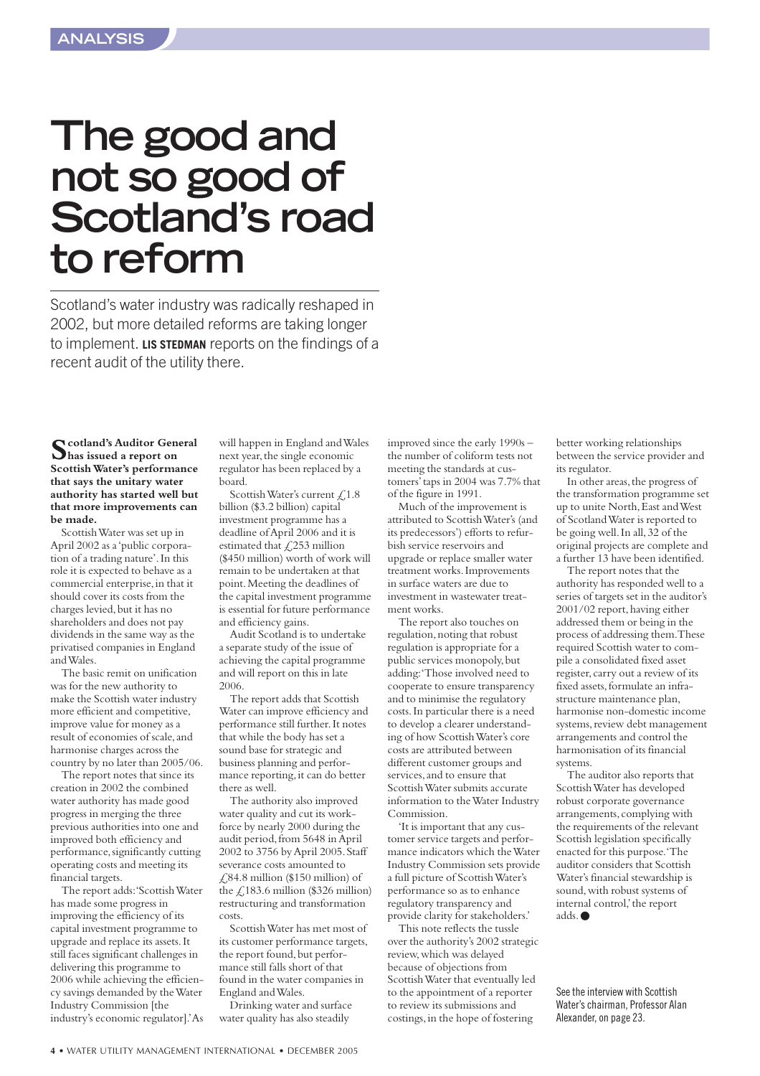### **The good and not so good of Scotland's road to reform**

Scotland's water industry was radically reshaped in 2002, but more detailed reforms are taking longer to implement. **LIS STEDMAN** reports on the findings of a recent audit of the utility there.

**Scotland's Auditor General has issued a report on Scottish Water's performance that says the unitary water authority has started well but that more improvements can be made.**

Scottish Water was set up in April 2002 as a 'public corporation of a trading nature'.In this role it is expected to behave as a commercial enterprise,in that it should cover its costs from the charges levied, but it has no shareholders and does not pay dividends in the same way as the privatised companies in England and Wales.

The basic remit on unification was for the new authority to make the Scottish water industry more efficient and competitive, improve value for money as a result of economies of scale,and harmonise charges across the country by no later than 2005/06.

The report notes that since its creation in 2002 the combined water authority has made good progress in merging the three previous authorities into one and improved both efficiency and performance,significantly cutting operating costs and meeting its financial targets.

The report adds:'Scottish Water has made some progress in improving the efficiency of its capital investment programme to upgrade and replace its assets.It still faces significant challenges in delivering this programme to 2006 while achieving the efficiency savings demanded by the Water Industry Commission [the industry's economic regulator].'As

will happen in England and Wales next year, the single economic regulator has been replaced by a board.

Scottish Water's current  $\text{\textsterling}1.8$ billion (\$3.2 billion) capital investment programme has a deadline of April 2006 and it is estimated that  $\text{\textsterling}253$  million (\$450 million) worth of work will remain to be undertaken at that point.Meeting the deadlines of the capital investment programme is essential for future performance and efficiency gains.

Audit Scotland is to undertake a separate study of the issue of achieving the capital programme and will report on this in late 2006.

The report adds that Scottish Water can improve efficiency and performance still further.It notes that while the body has set a sound base for strategic and business planning and performance reporting, it can do better there as well.

The authority also improved water quality and cut its workforce by nearly 2000 during the audit period,from 5648 in April 2002 to 3756 by April 2005.Staff severance costs amounted to  $\text{\textsterling}84.8$  million (\$150 million) of the  $\angle$ 183.6 million (\$326 million) restructuring and transformation costs.

Scottish Water has met most of its customer performance targets, the report found, but performance still falls short of that found in the water companies in England and Wales.

Drinking water and surface water quality has also steadily

improved since the early 1990s – the number of coliform tests not meeting the standards at customers'taps in 2004 was 7.7% that of the figure in 1991.

Much of the improvement is attributed to Scottish Water's (and its predecessors') efforts to refurbish service reservoirs and upgrade or replace smaller water treatment works.Improvements in surface waters are due to investment in wastewater treatment works.

The report also touches on regulation, noting that robust regulation is appropriate for a public services monopoly, but adding:'Those involved need to cooperate to ensure transparency and to minimise the regulatory costs.In particular there is a need to develop a clearer understanding of how Scottish Water's core costs are attributed between different customer groups and services, and to ensure that Scottish Water submits accurate information to the Water Industry Commission.

'It is important that any customer service targets and performance indicators which the Water Industry Commission sets provide a full picture of Scottish Water's performance so as to enhance regulatory transparency and provide clarity for stakeholders.'

This note reflects the tussle over the authority's 2002 strategic review,which was delayed because of objections from Scottish Water that eventually led to the appointment of a reporter to review its submissions and costings,in the hope of fostering

better working relationships between the service provider and its regulator.

In other areas, the progress of the transformation programme set up to unite North,East and West of Scotland Water is reported to be going well.In all,32 of the original projects are complete and a further 13 have been identified.

The report notes that the authority has responded well to a series of targets set in the auditor's 2001/02 report,having either addressed them or being in the process of addressing them.These required Scottish water to compile a consolidated fixed asset register, carry out a review of its fixed assets,formulate an infrastructure maintenance plan, harmonise non-domestic income systems, review debt management arrangements and control the harmonisation of its financial systems.

The auditor also reports that Scottish Water has developed robust corporate governance arrangements,complying with the requirements of the relevant Scottish legislation specifically enacted for this purpose.'The auditor considers that Scottish Water's financial stewardship is sound, with robust systems of internal control,'the report adds.●

See the interview with Scottish Water's chairman, Professor Alan Alexander, on page 23.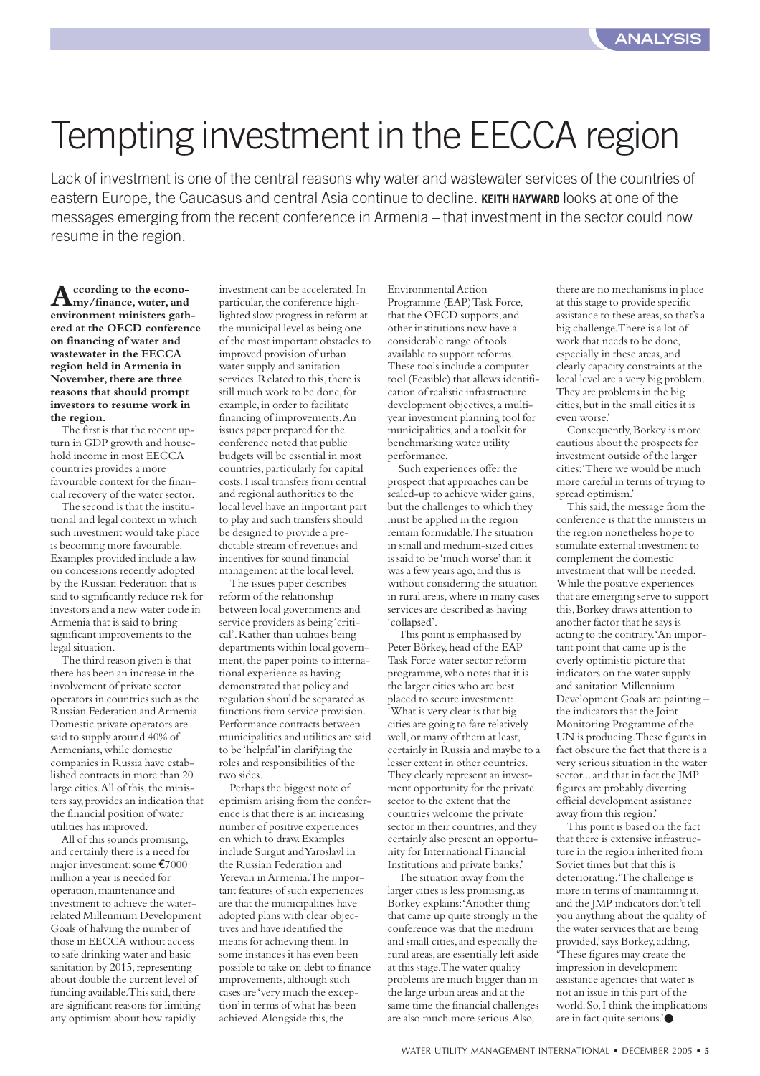## Tempting investment in the EECCA region

Lack of investment is one of the central reasons why water and wastewater services of the countries of eastern Europe, the Caucasus and central Asia continue to decline. **KEITH HAYWARD** looks at one of the messages emerging from the recent conference in Armenia – that investment in the sector could now resume in the region.

**According to the econo-my/finance,water,and environment ministers gathered at the OECD conference on financing of water and wastewater in the EECCA region held in Armenia in November, there are three reasons that should prompt investors to resume work in the region.**

The first is that the recent upturn in GDP growth and household income in most EECCA countries provides a more favourable context for the financial recovery of the water sector.

The second is that the institutional and legal context in which such investment would take place is becoming more favourable. Examples provided include a law on concessions recently adopted by the Russian Federation that is said to significantly reduce risk for investors and a new water code in Armenia that is said to bring significant improvements to the legal situation.

The third reason given is that there has been an increase in the involvement of private sector operators in countries such as the Russian Federation and Armenia. Domestic private operators are said to supply around 40% of Armenians,while domestic companies in Russia have established contracts in more than 20 large cities. All of this, the ministers say,provides an indication that the financial position of water utilities has improved.

All of this sounds promising, and certainly there is a need for major investment:some €7000 million a year is needed for operation,maintenance and investment to achieve the waterrelated Millennium Development Goals of halving the number of those in EECCA without access to safe drinking water and basic sanitation by 2015, representing about double the current level of funding available. This said, there are significant reasons for limiting any optimism about how rapidly

investment can be accelerated.In particular, the conference highlighted slow progress in reform at the municipal level as being one of the most important obstacles to improved provision of urban water supply and sanitation services. Related to this, there is still much work to be done,for example,in order to facilitate financing of improvements.An issues paper prepared for the conference noted that public budgets will be essential in most countries, particularly for capital costs.Fiscal transfers from central and regional authorities to the local level have an important part to play and such transfers should be designed to provide a predictable stream of revenues and incentives for sound financial management at the local level.

The issues paper describes reform of the relationship between local governments and service providers as being 'critical'. Rather than utilities being departments within local government, the paper points to international experience as having demonstrated that policy and regulation should be separated as functions from service provision. Performance contracts between municipalities and utilities are said to be 'helpful'in clarifying the roles and responsibilities of the two sides.

Perhaps the biggest note of optimism arising from the conference is that there is an increasing number of positive experiences on which to draw.Examples include Surgut and Yaroslavl in the Russian Federation and Yerevan in Armenia.The important features of such experiences are that the municipalities have adopted plans with clear objectives and have identified the means for achieving them.In some instances it has even been possible to take on debt to finance improvements,although such cases are 'very much the exception'in terms of what has been achieved. Alongside this, the

Environmental Action Programme (EAP) Task Force, that the OECD supports, and other institutions now have a considerable range of tools available to support reforms. These tools include a computer tool (Feasible) that allows identification of realistic infrastructure development objectives,a multiyear investment planning tool for municipalities,and a toolkit for benchmarking water utility performance.

Such experiences offer the prospect that approaches can be scaled-up to achieve wider gains, but the challenges to which they must be applied in the region remain formidable.The situation in small and medium-sized cities is said to be 'much worse'than it was a few years ago, and this is without considering the situation in rural areas,where in many cases services are described as having 'collapsed'.

This point is emphasised by Peter Börkey, head of the EAP Task Force water sector reform programme,who notes that it is the larger cities who are best placed to secure investment: 'What is very clear is that big cities are going to fare relatively well, or many of them at least certainly in Russia and maybe to a lesser extent in other countries. They clearly represent an investment opportunity for the private sector to the extent that the countries welcome the private sector in their countries, and they certainly also present an opportunity for International Financial Institutions and private banks.'

The situation away from the larger cities is less promising, as Borkey explains:'Another thing that came up quite strongly in the conference was that the medium and small cities, and especially the rural areas,are essentially left aside at this stage.The water quality problems are much bigger than in the large urban areas and at the same time the financial challenges are also much more serious.Also,

there are no mechanisms in place at this stage to provide specific assistance to these areas,so that's a big challenge.There is a lot of work that needs to be done, especially in these areas,and clearly capacity constraints at the local level are a very big problem. They are problems in the big cities,but in the small cities it is even worse.'

Consequently,Borkey is more cautious about the prospects for investment outside of the larger cities:'There we would be much more careful in terms of trying to spread optimism.'

This said, the message from the conference is that the ministers in the region nonetheless hope to stimulate external investment to complement the domestic investment that will be needed. While the positive experiences that are emerging serve to support this,Borkey draws attention to another factor that he says is acting to the contrary.'An important point that came up is the overly optimistic picture that indicators on the water supply and sanitation Millennium Development Goals are painting – the indicators that the Joint Monitoring Programme of the UN is producing.These figures in fact obscure the fact that there is a very serious situation in the water sector... and that in fact the JMP figures are probably diverting official development assistance away from this region.'

This point is based on the fact that there is extensive infrastructure in the region inherited from Soviet times but that this is deteriorating.'The challenge is more in terms of maintaining it, and the JMP indicators don't tell you anything about the quality of the water services that are being provided,'says Borkey,adding, 'These figures may create the impression in development assistance agencies that water is not an issue in this part of the world.So,I think the implications are in fact quite serious.'●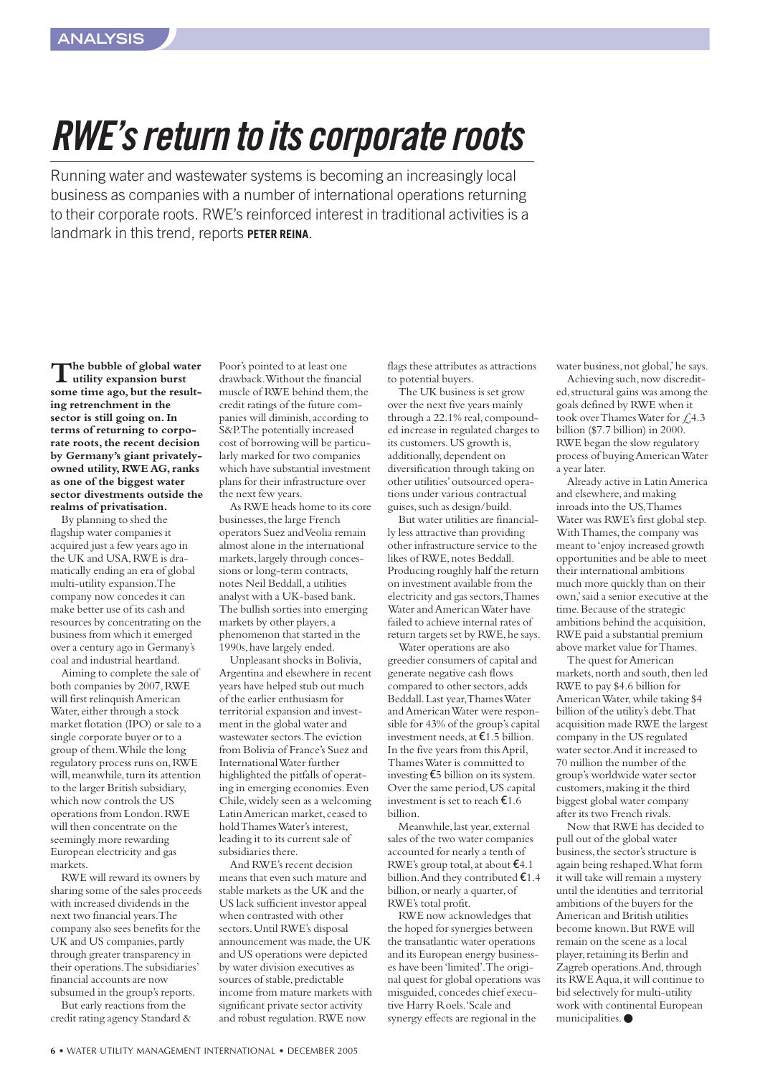## *RWE's return to its corporate roots*

Running water and wastewater systems is becoming an increasingly local business as companies with a number of international operations returning to their corporate roots. RWE's reinforced interest in traditional activities is a landmark in this trend, reports **PETER REINA**.

**The bubble of global water utility expansion burst** some time ago, but the result**ing retrenchment in the sector is still going on. In terms of returning to corporate roots, the recent decision by Germany's giant privatelyowned utility,RWE AG,ranks as one of the biggest water sector divestments outside the realms of privatisation.**

By planning to shed the flagship water companies it acquired just a few years ago in the UK and USA,RWE is dramatically ending an era of global multi-utility expansion.The company now concedes it can make better use of its cash and resources by concentrating on the business from which it emerged over a century ago in Germany's coal and industrial heartland.

Aiming to complete the sale of both companies by 2007,RWE will first relinquish American Water, either through a stock market flotation (IPO) or sale to a single corporate buyer or to a group of them.While the long regulatory process runs on,RWE will, meanwhile, turn its attention to the larger British subsidiary, which now controls the US operations from London.RWE will then concentrate on the seemingly more rewarding European electricity and gas markets.

RWE will reward its owners by sharing some of the sales proceeds with increased dividends in the next two financial years.The company also sees benefits for the UK and US companies, partly through greater transparency in their operations.The subsidiaries' financial accounts are now subsumed in the group's reports.

But early reactions from the credit rating agency Standard &

Poor's pointed to at least one drawback.Without the financial muscle of RWE behind them, the credit ratings of the future companies will diminish,according to S&P.The potentially increased cost of borrowing will be particularly marked for two companies which have substantial investment plans for their infrastructure over the next few years.

As RWE heads home to its core businesses, the large French operators Suez and Veolia remain almost alone in the international markets,largely through concessions or long-term contracts, notes Neil Beddall,a utilities analyst with a UK-based bank. The bullish sorties into emerging markets by other players,a phenomenon that started in the 1990s, have largely ended.

Unpleasant shocks in Bolivia, Argentina and elsewhere in recent years have helped stub out much of the earlier enthusiasm for territorial expansion and investment in the global water and wastewater sectors. The eviction from Bolivia of France's Suez and International Water further highlighted the pitfalls of operating in emerging economies.Even Chile,widely seen as a welcoming Latin American market, ceased to hold Thames Water's interest, leading it to its current sale of subsidiaries there.

And RWE's recent decision means that even such mature and stable markets as the UK and the US lack sufficient investor appeal when contrasted with other sectors.Until RWE's disposal announcement was made, the UK and US operations were depicted by water division executives as sources of stable, predictable income from mature markets with significant private sector activity and robust regulation.RWE now

flags these attributes as attractions to potential buyers.

The UK business is set grow over the next five years mainly through a 22.1% real, compounded increase in regulated charges to its customers.US growth is, additionally, dependent on diversification through taking on other utilities'outsourced operations under various contractual guises, such as design/build.

But water utilities are financially less attractive than providing other infrastructure service to the likes of RWE, notes Beddall. Producing roughly half the return on investment available from the electricity and gas sectors,Thames Water and American Water have failed to achieve internal rates of return targets set by RWE, he says.

Water operations are also greedier consumers of capital and generate negative cash flows compared to other sectors,adds Beddall.Last year,Thames Water and American Water were responsible for 43% of the group's capital investment needs,at €1.5 billion. In the five years from this April, Thames Water is committed to investing €5 billion on its system. Over the same period,US capital investment is set to reach  $\epsilon$ 1.6 billion.

Meanwhile, last year, external sales of the two water companies accounted for nearly a tenth of RWE's group total,at about €4.1 billion.And they contributed €1.4 billion, or nearly a quarter, of RWE's total profit.

RWE now acknowledges that the hoped for synergies between the transatlantic water operations and its European energy businesses have been 'limited'.The original quest for global operations was misguided, concedes chief executive Harry Roels.'Scale and synergy effects are regional in the

water business,not global,'he says.

Achieving such, now discredited,structural gains was among the goals defined by RWE when it took over Thames Water for £4.3 billion (\$7.7 billion) in 2000. RWE began the slow regulatory process of buying American Water a year later.

Already active in Latin America and elsewhere, and making inroads into the US,Thames Water was RWE's first global step. With Thames, the company was meant to 'enjoy increased growth opportunities and be able to meet their international ambitions much more quickly than on their own,'said a senior executive at the time.Because of the strategic ambitions behind the acquisition, RWE paid a substantial premium above market value for Thames.

The quest for American markets, north and south, then led RWE to pay \$4.6 billion for American Water, while taking \$4 billion of the utility's debt.That acquisition made RWE the largest company in the US regulated water sector.And it increased to 70 million the number of the group's worldwide water sector customers,making it the third biggest global water company after its two French rivals.

Now that RWE has decided to pull out of the global water business, the sector's structure is again being reshaped.What form it will take will remain a mystery until the identities and territorial ambitions of the buyers for the American and British utilities become known.But RWE will remain on the scene as a local player, retaining its Berlin and Zagreb operations. And, through its RWE Aqua,it will continue to bid selectively for multi-utility work with continental European municipalities.●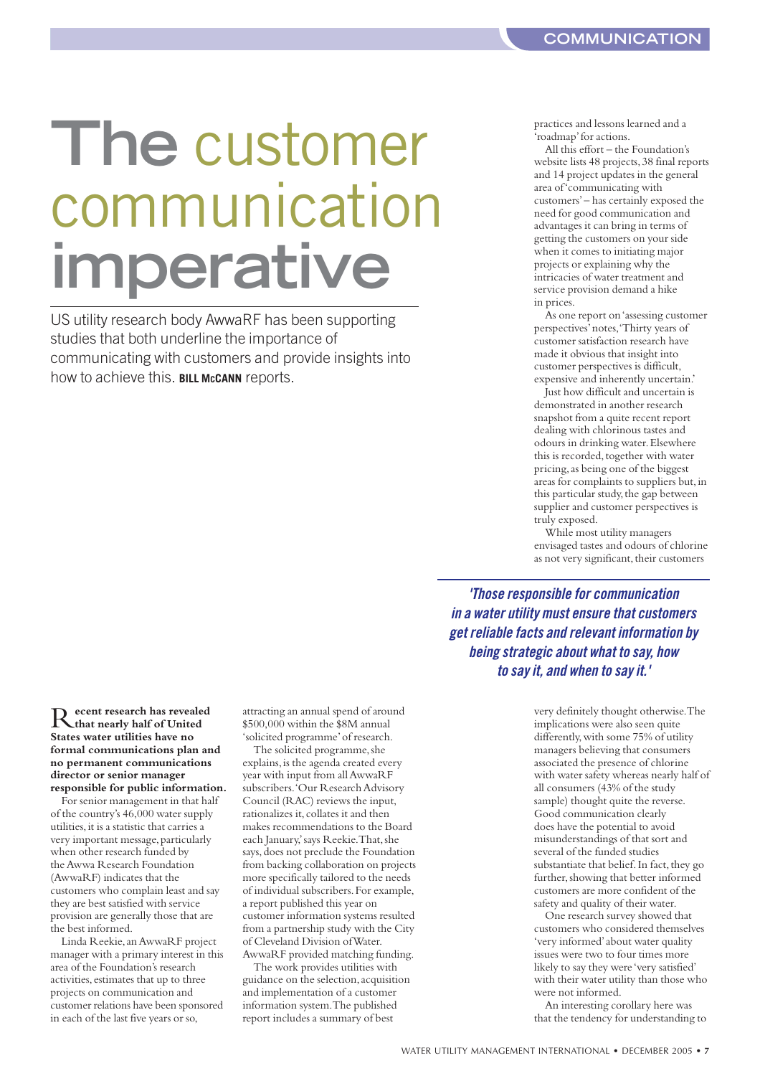## **The** customer communication **imperative**

US utility research body AwwaRF has been supporting studies that both underline the importance of communicating with customers and provide insights into how to achieve this. **BILL MCCANN** reports.

practices and lessons learned and a 'roadmap'for actions.

All this effort – the Foundation's website lists 48 projects,38 final reports and 14 project updates in the general area of 'communicating with customers'– has certainly exposed the need for good communication and advantages it can bring in terms of getting the customers on your side when it comes to initiating major projects or explaining why the intricacies of water treatment and service provision demand a hike in prices.

As one report on 'assessing customer perspectives'notes,'Thirty years of customer satisfaction research have made it obvious that insight into customer perspectives is difficult, expensive and inherently uncertain.'

Just how difficult and uncertain is demonstrated in another research snapshot from a quite recent report dealing with chlorinous tastes and odours in drinking water.Elsewhere this is recorded, together with water pricing,as being one of the biggest areas for complaints to suppliers but,in this particular study, the gap between supplier and customer perspectives is truly exposed.

While most utility managers envisaged tastes and odours of chlorine as not very significant, their customers

*'Those responsible for communication in a water utility must ensure that customers get reliable facts and relevant information by being strategic about what to say, how to say it, and when to say it.'*

R**ecent research has revealed that nearly half of United States water utilities have no formal communications plan and no permanent communications director or senior manager responsible for public information.**

For senior management in that half of the country's 46,000 water supply utilities, it is a statistic that carries a very important message, particularly when other research funded by the Awwa Research Foundation (AwwaRF) indicates that the customers who complain least and say they are best satisfied with service provision are generally those that are the best informed.

Linda Reekie,an AwwaRF project manager with a primary interest in this area of the Foundation's research activities,estimates that up to three projects on communication and customer relations have been sponsored in each of the last five years or so,

attracting an annual spend of around \$500,000 within the \$8M annual 'solicited programme'of research.

The solicited programme, she explains, is the agenda created every year with input from all AwwaRF subscribers.'Our Research Advisory Council (RAC) reviews the input, rationalizes it, collates it and then makes recommendations to the Board each January,'says Reekie.That,she says, does not preclude the Foundation from backing collaboration on projects more specifically tailored to the needs of individual subscribers.For example, a report published this year on customer information systems resulted from a partnership study with the City of Cleveland Division of Water. AwwaRF provided matching funding.

The work provides utilities with guidance on the selection,acquisition and implementation of a customer information system.The published report includes a summary of best

very definitely thought otherwise.The implications were also seen quite differently,with some 75% of utility managers believing that consumers associated the presence of chlorine with water safety whereas nearly half of all consumers (43% of the study sample) thought quite the reverse. Good communication clearly does have the potential to avoid misunderstandings of that sort and several of the funded studies substantiate that belief. In fact, they go further, showing that better informed customers are more confident of the safety and quality of their water.

One research survey showed that customers who considered themselves 'very informed'about water quality issues were two to four times more likely to say they were 'very satisfied' with their water utility than those who were not informed.

An interesting corollary here was that the tendency for understanding to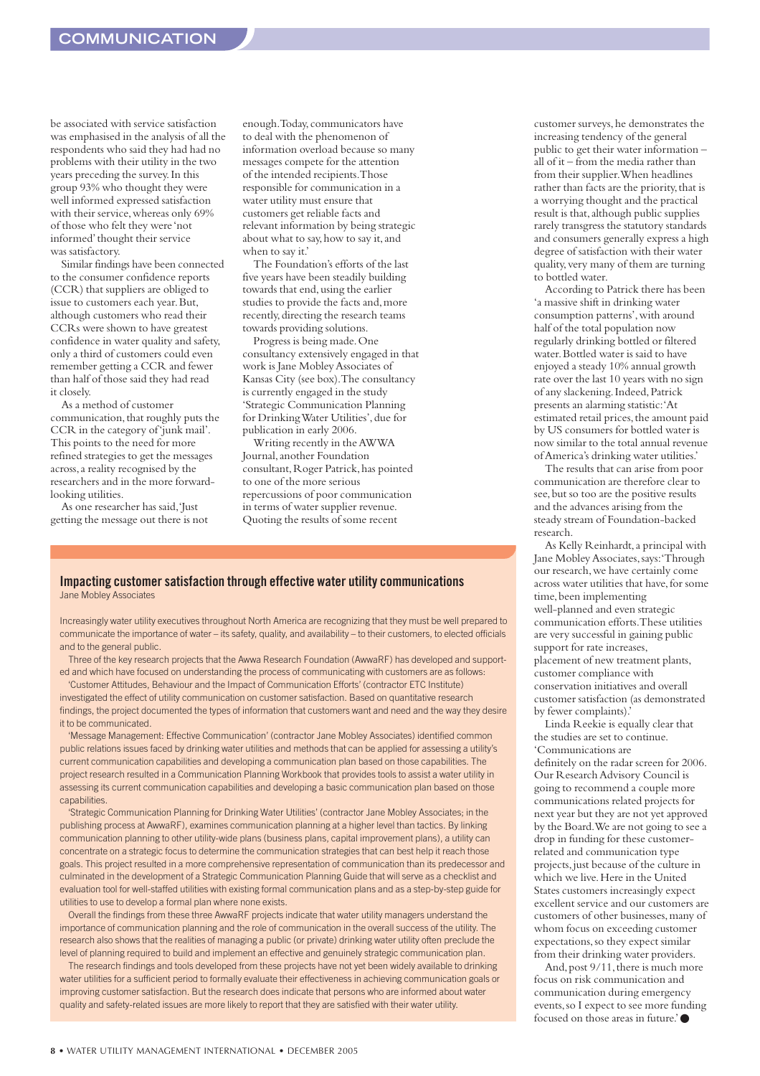be associated with service satisfaction was emphasised in the analysis of all the respondents who said they had had no problems with their utility in the two years preceding the survey.In this group 93% who thought they were well informed expressed satisfaction with their service, whereas only 69% of those who felt they were 'not informed'thought their service was satisfactory.

Similar findings have been connected to the consumer confidence reports (CCR) that suppliers are obliged to issue to customers each year.But, although customers who read their CCRs were shown to have greatest confidence in water quality and safety, only a third of customers could even remember getting a CCR and fewer than half of those said they had read it closely.

As a method of customer communication, that roughly puts the CCR in the category of 'junk mail'. This points to the need for more refined strategies to get the messages across,a reality recognised by the researchers and in the more forwardlooking utilities.

As one researcher has said,'Just getting the message out there is not enough.Today,communicators have to deal with the phenomenon of information overload because so many messages compete for the attention of the intended recipients.Those responsible for communication in a water utility must ensure that customers get reliable facts and relevant information by being strategic about what to say, how to say it, and when to say it.'

The Foundation's efforts of the last five years have been steadily building towards that end,using the earlier studies to provide the facts and,more recently,directing the research teams towards providing solutions.

Progress is being made.One consultancy extensively engaged in that work is Jane Mobley Associates of Kansas City (see box).The consultancy is currently engaged in the study 'Strategic Communication Planning for Drinking Water Utilities',due for publication in early 2006.

Writing recently in the AWWA Journal,another Foundation consultant,Roger Patrick,has pointed to one of the more serious repercussions of poor communication in terms of water supplier revenue. Quoting the results of some recent

#### **Impacting customer satisfaction through effective water utility communications** Jane Mobley Associates

Increasingly water utility executives throughout North America are recognizing that they must be well prepared to communicate the importance of water – its safety, quality, and availability – to their customers, to elected officials and to the general public.

Three of the key research projects that the Awwa Research Foundation (AwwaRF) has developed and supported and which have focused on understanding the process of communicating with customers are as follows:

'Customer Attitudes, Behaviour and the Impact of Communication Efforts' (contractor ETC Institute) investigated the effect of utility communication on customer satisfaction. Based on quantitative research findings, the project documented the types of information that customers want and need and the way they desire it to be communicated.

'Message Management: Effective Communication' (contractor Jane Mobley Associates) identified common public relations issues faced by drinking water utilities and methods that can be applied for assessing a utility's current communication capabilities and developing a communication plan based on those capabilities. The project research resulted in a Communication Planning Workbook that provides tools to assist a water utility in assessing its current communication capabilities and developing a basic communication plan based on those capabilities.

'Strategic Communication Planning for Drinking Water Utilities' (contractor Jane Mobley Associates; in the publishing process at AwwaRF), examines communication planning at a higher level than tactics. By linking communication planning to other utility-wide plans (business plans, capital improvement plans), a utility can concentrate on a strategic focus to determine the communication strategies that can best help it reach those goals. This project resulted in a more comprehensive representation of communication than its predecessor and culminated in the development of a Strategic Communication Planning Guide that will serve as a checklist and evaluation tool for well-staffed utilities with existing formal communication plans and as a step-by-step guide for utilities to use to develop a formal plan where none exists.

Overall the findings from these three AwwaRF projects indicate that water utility managers understand the importance of communication planning and the role of communication in the overall success of the utility. The research also shows that the realities of managing a public (or private) drinking water utility often preclude the level of planning required to build and implement an effective and genuinely strategic communication plan.

The research findings and tools developed from these projects have not yet been widely available to drinking water utilities for a sufficient period to formally evaluate their effectiveness in achieving communication goals or improving customer satisfaction. But the research does indicate that persons who are informed about water quality and safety-related issues are more likely to report that they are satisfied with their water utility.

customer surveys,he demonstrates the increasing tendency of the general public to get their water information – all of it – from the media rather than from their supplier.When headlines rather than facts are the priority, that is a worrying thought and the practical result is that, although public supplies rarely transgress the statutory standards and consumers generally express a high degree of satisfaction with their water quality,very many of them are turning to bottled water.

According to Patrick there has been 'a massive shift in drinking water consumption patterns', with around half of the total population now regularly drinking bottled or filtered water.Bottled water is said to have enjoyed a steady 10% annual growth rate over the last 10 years with no sign of any slackening.Indeed,Patrick presents an alarming statistic:'At estimated retail prices, the amount paid by US consumers for bottled water is now similar to the total annual revenue of America's drinking water utilities.'

The results that can arise from poor communication are therefore clear to see,but so too are the positive results and the advances arising from the steady stream of Foundation-backed research.

As Kelly Reinhardt,a principal with Jane Mobley Associates,says:'Through our research,we have certainly come across water utilities that have,for some time,been implementing well-planned and even strategic communication efforts.These utilities are very successful in gaining public support for rate increases, placement of new treatment plants, customer compliance with conservation initiatives and overall customer satisfaction (as demonstrated by fewer complaints).'

Linda Reekie is equally clear that the studies are set to continue. 'Communications are

definitely on the radar screen for 2006. Our Research Advisory Council is going to recommend a couple more communications related projects for next year but they are not yet approved by the Board.We are not going to see a drop in funding for these customerrelated and communication type projects, just because of the culture in which we live.Here in the United States customers increasingly expect excellent service and our customers are customers of other businesses,many of whom focus on exceeding customer expectations,so they expect similar from their drinking water providers.

And, post  $9/11$ , there is much more focus on risk communication and communication during emergency events,so I expect to see more funding focused on those areas in future.'●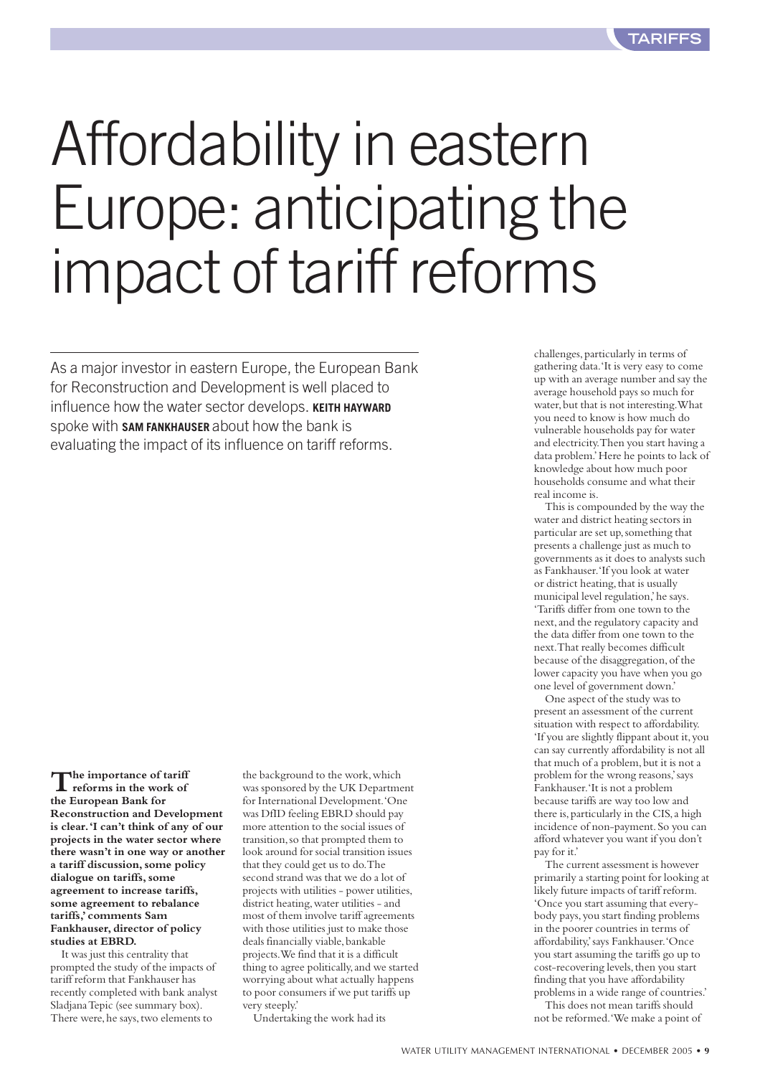## Affordability in eastern Europe: anticipating the impact of tariff reforms

As a major investor in eastern Europe, the European Bank for Reconstruction and Development is well placed to influence how the water sector develops. **KEITH HAYWARD** spoke with **SAM FANKHAUSER** about how the bank is evaluating the impact of its influence on tariff reforms.

**The importance of tariff reforms in the work of the European Bank for Reconstruction and Development is clear.'I can't think of any of our projects in the water sector where there wasn't in one way or another a tariff discussion, some policy dialogue on tariffs, some agreement to increase tariffs, some agreement to rebalance tariffs,'comments Sam Fankhauser, director of policy studies at EBRD.**

It was just this centrality that prompted the study of the impacts of tariff reform that Fankhauser has recently completed with bank analyst Sladjana Tepic (see summary box). There were, he says, two elements to

the background to the work,which was sponsored by the UK Department for International Development.'One was DfID feeling EBRD should pay more attention to the social issues of transition,so that prompted them to look around for social transition issues that they could get us to do.The second strand was that we do a lot of projects with utilities - power utilities, district heating,water utilities - and most of them involve tariff agreements with those utilities just to make those deals financially viable, bankable projects.We find that it is a difficult thing to agree politically, and we started worrying about what actually happens to poor consumers if we put tariffs up very steeply.'

Undertaking the work had its

challenges,particularly in terms of gathering data.'It is very easy to come up with an average number and say the average household pays so much for water, but that is not interesting. What you need to know is how much do vulnerable households pay for water and electricity.Then you start having a data problem.'Here he points to lack of knowledge about how much poor households consume and what their real income is.

This is compounded by the way the water and district heating sectors in particular are set up,something that presents a challenge just as much to governments as it does to analysts such as Fankhauser.'If you look at water or district heating, that is usually municipal level regulation,'he says. 'Tariffs differ from one town to the next,and the regulatory capacity and the data differ from one town to the next.That really becomes difficult because of the disaggregation, of the lower capacity you have when you go one level of government down.'

One aspect of the study was to present an assessment of the current situation with respect to affordability. 'If you are slightly flippant about it,you can say currently affordability is not all that much of a problem, but it is not a problem for the wrong reasons,'says Fankhauser.'It is not a problem because tariffs are way too low and there is, particularly in the CIS, a high incidence of non-payment.So you can afford whatever you want if you don't pay for it.'

The current assessment is however primarily a starting point for looking at likely future impacts of tariff reform. 'Once you start assuming that everybody pays,you start finding problems in the poorer countries in terms of affordability,'says Fankhauser.'Once you start assuming the tariffs go up to cost-recovering levels, then you start finding that you have affordability problems in a wide range of countries.'

This does not mean tariffs should not be reformed.'We make a point of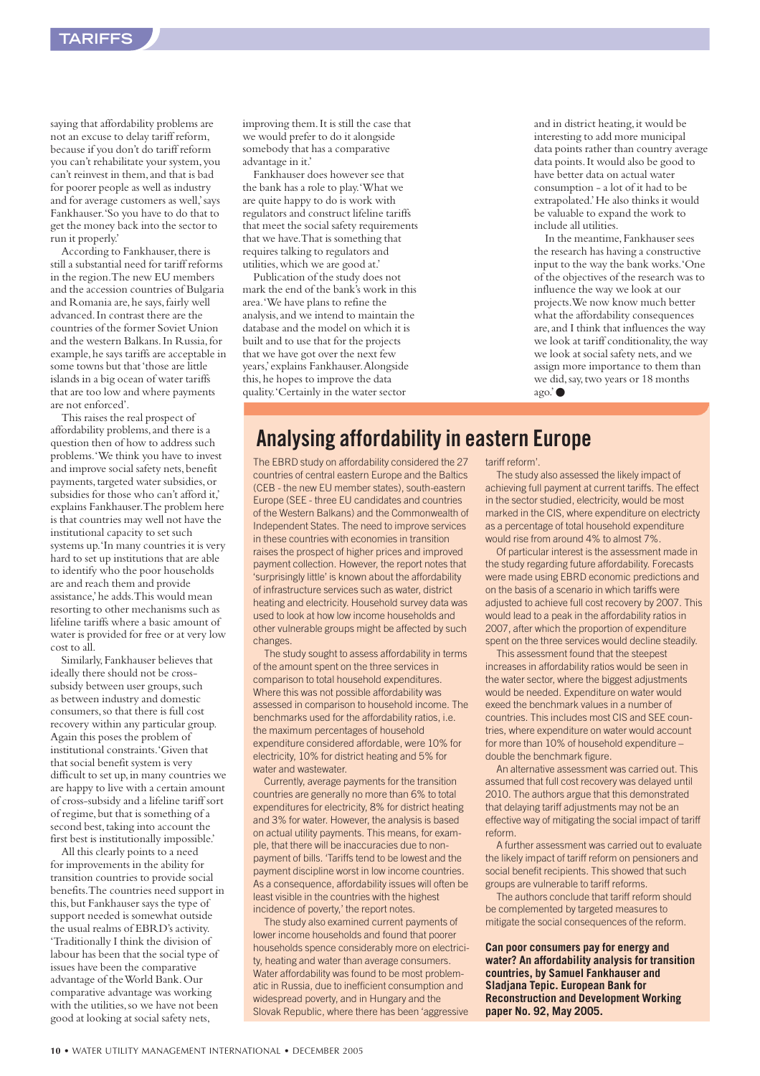saying that affordability problems are not an excuse to delay tariff reform, because if you don't do tariff reform you can't rehabilitate your system,you can't reinvest in them,and that is bad for poorer people as well as industry and for average customers as well,'says Fankhauser.'So you have to do that to get the money back into the sector to run it properly.'

According to Fankhauser, there is still a substantial need for tariff reforms in the region.The new EU members and the accession countries of Bulgaria and Romania are, he says, fairly well advanced.In contrast there are the countries of the former Soviet Union and the western Balkans.In Russia,for example,he says tariffs are acceptable in some towns but that 'those are little islands in a big ocean of water tariffs that are too low and where payments are not enforced'.

This raises the real prospect of affordability problems,and there is a question then of how to address such problems.'We think you have to invest and improve social safety nets, benefit payments, targeted water subsidies, or subsidies for those who can't afford it,' explains Fankhauser.The problem here is that countries may well not have the institutional capacity to set such systems up.'In many countries it is very hard to set up institutions that are able to identify who the poor households are and reach them and provide assistance,'he adds.This would mean resorting to other mechanisms such as lifeline tariffs where a basic amount of water is provided for free or at very low cost to all.

Similarly,Fankhauser believes that ideally there should not be crosssubsidy between user groups, such as between industry and domestic consumers,so that there is full cost recovery within any particular group. Again this poses the problem of institutional constraints.'Given that that social benefit system is very difficult to set up, in many countries we are happy to live with a certain amount of cross-subsidy and a lifeline tariff sort of regime, but that is something of a second best, taking into account the first best is institutionally impossible.'

All this clearly points to a need for improvements in the ability for transition countries to provide social benefits.The countries need support in this,but Fankhauser says the type of support needed is somewhat outside the usual realms of EBRD's activity. 'Traditionally I think the division of labour has been that the social type of issues have been the comparative advantage of the World Bank.Our comparative advantage was working with the utilities,so we have not been good at looking at social safety nets,

improving them.It is still the case that we would prefer to do it alongside somebody that has a comparative advantage in it.'

Fankhauser does however see that the bank has a role to play.'What we are quite happy to do is work with regulators and construct lifeline tariffs that meet the social safety requirements that we have.That is something that requires talking to regulators and utilities,which we are good at.'

Publication of the study does not mark the end of the bank's work in this area.'We have plans to refine the analysis,and we intend to maintain the database and the model on which it is built and to use that for the projects that we have got over the next few years,'explains Fankhauser.Alongside this, he hopes to improve the data quality.'Certainly in the water sector

and in district heating, it would be interesting to add more municipal data points rather than country average data points.It would also be good to have better data on actual water consumption - a lot of it had to be extrapolated.'He also thinks it would be valuable to expand the work to include all utilities.

In the meantime,Fankhauser sees the research has having a constructive input to the way the bank works.'One of the objectives of the research was to influence the way we look at our projects.We now know much better what the affordability consequences are,and I think that influences the way we look at tariff conditionality, the way we look at social safety nets,and we assign more importance to them than we did,say,two years or 18 months ago.'●

#### **Analysing affordability in eastern Europe**

The EBRD study on affordability considered the 27 countries of central eastern Europe and the Baltics (CEB - the new EU member states), south-eastern Europe (SEE - three EU candidates and countries of the Western Balkans) and the Commonwealth of Independent States. The need to improve services in these countries with economies in transition raises the prospect of higher prices and improved payment collection. However, the report notes that 'surprisingly little' is known about the affordability of infrastructure services such as water, district heating and electricity. Household survey data was used to look at how low income households and other vulnerable groups might be affected by such changes.

The study sought to assess affordability in terms of the amount spent on the three services in comparison to total household expenditures. Where this was not possible affordability was assessed in comparison to household income. The benchmarks used for the affordability ratios, i.e. the maximum percentages of household expenditure considered affordable, were 10% for electricity, 10% for district heating and 5% for water and wastewater.

Currently, average payments for the transition countries are generally no more than 6% to total expenditures for electricity, 8% for district heating and 3% for water. However, the analysis is based on actual utility payments. This means, for example, that there will be inaccuracies due to nonpayment of bills. 'Tariffs tend to be lowest and the payment discipline worst in low income countries. As a consequence, affordability issues will often be least visible in the countries with the highest incidence of poverty,' the report notes.

The study also examined current payments of lower income households and found that poorer households spence considerably more on electricity, heating and water than average consumers. Water affordability was found to be most problematic in Russia, due to inefficient consumption and widespread poverty, and in Hungary and the Slovak Republic, where there has been 'aggressive

tariff reform'.

The study also assessed the likely impact of achieving full payment at current tariffs. The effect in the sector studied, electricity, would be most marked in the CIS, where expenditure on electricty as a percentage of total household expenditure would rise from around 4% to almost 7%.

Of particular interest is the assessment made in the study regarding future affordability. Forecasts were made using EBRD economic predictions and on the basis of a scenario in which tariffs were adjusted to achieve full cost recovery by 2007. This would lead to a peak in the affordability ratios in 2007, after which the proportion of expenditure spent on the three services would decline steadily.

This assessment found that the steepest increases in affordability ratios would be seen in the water sector, where the biggest adjustments would be needed. Expenditure on water would exeed the benchmark values in a number of countries. This includes most CIS and SEE countries, where expenditure on water would account for more than 10% of household expenditure – double the benchmark figure.

An alternative assessment was carried out. This assumed that full cost recovery was delayed until 2010. The authors argue that this demonstrated that delaying tariff adjustments may not be an effective way of mitigating the social impact of tariff reform.

A further assessment was carried out to evaluate the likely impact of tariff reform on pensioners and social benefit recipients. This showed that such groups are vulnerable to tariff reforms.

The authors conclude that tariff reform should be complemented by targeted measures to mitigate the social consequences of the reform.

**Can poor consumers pay for energy and water? An affordability analysis for transition countries, by Samuel Fankhauser and Sladjana Tepic. European Bank for Reconstruction and Development Working paper No. 92, May 2005.**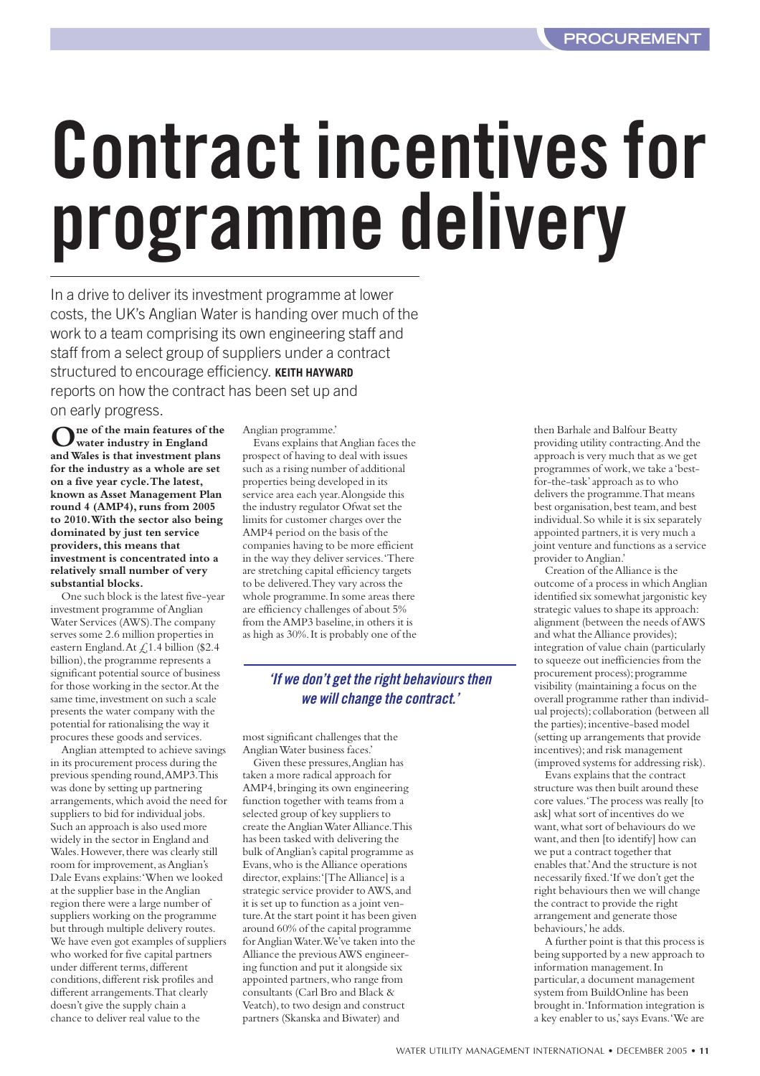# **Contract incentives for programme delivery**

In a drive to deliver its investment programme at lower costs, the UK's Anglian Water is handing over much of the work to a team comprising its own engineering staff and staff from a select group of suppliers under a contract structured to encourage efficiency. **KEITH HAYWARD** reports on how the contract has been set up and on early progress.

**One of the main features of the water industry in England and Wales is that investment plans for the industry as a whole are set on a five year cycle.The latest, known as Asset Management Plan round 4 (AMP4), runs from 2005 to 2010.With the sector also being dominated by just ten service providers, this means that investment is concentrated into a relatively small number of very substantial blocks.**

One such block is the latest five-year investment programme of Anglian Water Services (AWS).The company serves some 2.6 million properties in eastern England.At £1.4 billion (\$2.4 billion), the programme represents a significant potential source of business for those working in the sector.At the same time, investment on such a scale presents the water company with the potential for rationalising the way it procures these goods and services.

Anglian attempted to achieve savings in its procurement process during the previous spending round,AMP3.This was done by setting up partnering arrangements,which avoid the need for suppliers to bid for individual jobs. Such an approach is also used more widely in the sector in England and Wales. However, there was clearly still room for improvement, as Anglian's Dale Evans explains:'When we looked at the supplier base in the Anglian region there were a large number of suppliers working on the programme but through multiple delivery routes. We have even got examples of suppliers who worked for five capital partners under different terms, different conditions,different risk profiles and different arrangements.That clearly doesn't give the supply chain a chance to deliver real value to the

Anglian programme.' Evans explains that Anglian faces the prospect of having to deal with issues such as a rising number of additional properties being developed in its service area each year.Alongside this the industry regulator Ofwat set the limits for customer charges over the AMP4 period on the basis of the companies having to be more efficient in the way they deliver services.'There are stretching capital efficiency targets to be delivered.They vary across the whole programme.In some areas there are efficiency challenges of about 5% from the AMP3 baseline, in others it is as high as 30%.It is probably one of the

#### *'If we don't get the right behaviours then we will change the contract.'*

most significant challenges that the Anglian Water business faces.'

Given these pressures,Anglian has taken a more radical approach for AMP4,bringing its own engineering function together with teams from a selected group of key suppliers to create the Anglian Water Alliance.This has been tasked with delivering the bulk of Anglian's capital programme as Evans,who is the Alliance operations director,explains:'[The Alliance] is a strategic service provider to AWS,and it is set up to function as a joint venture.At the start point it has been given around 60% of the capital programme for Anglian Water.We've taken into the Alliance the previous AWS engineering function and put it alongside six appointed partners, who range from consultants (Carl Bro and Black & Veatch), to two design and construct partners (Skanska and Biwater) and

then Barhale and Balfour Beatty providing utility contracting.And the approach is very much that as we get programmes of work,we take a 'bestfor-the-task'approach as to who delivers the programme.That means best organisation, best team, and best individual.So while it is six separately appointed partners, it is very much a joint venture and functions as a service provider to Anglian.'

Creation of the Alliance is the outcome of a process in which Anglian identified six somewhat jargonistic key strategic values to shape its approach: alignment (between the needs of AWS and what the Alliance provides); integration of value chain (particularly to squeeze out inefficiencies from the procurement process); programme visibility (maintaining a focus on the overall programme rather than individual projects);collaboration (between all the parties);incentive-based model (setting up arrangements that provide incentives);and risk management (improved systems for addressing risk).

Evans explains that the contract structure was then built around these core values.'The process was really [to ask] what sort of incentives do we want,what sort of behaviours do we want,and then [to identify] how can we put a contract together that enables that.'And the structure is not necessarily fixed.'If we don't get the right behaviours then we will change the contract to provide the right arrangement and generate those behaviours,'he adds.

A further point is that this process is being supported by a new approach to information management.In particular,a document management system from BuildOnline has been brought in.'Information integration is a key enabler to us,'says Evans.'We are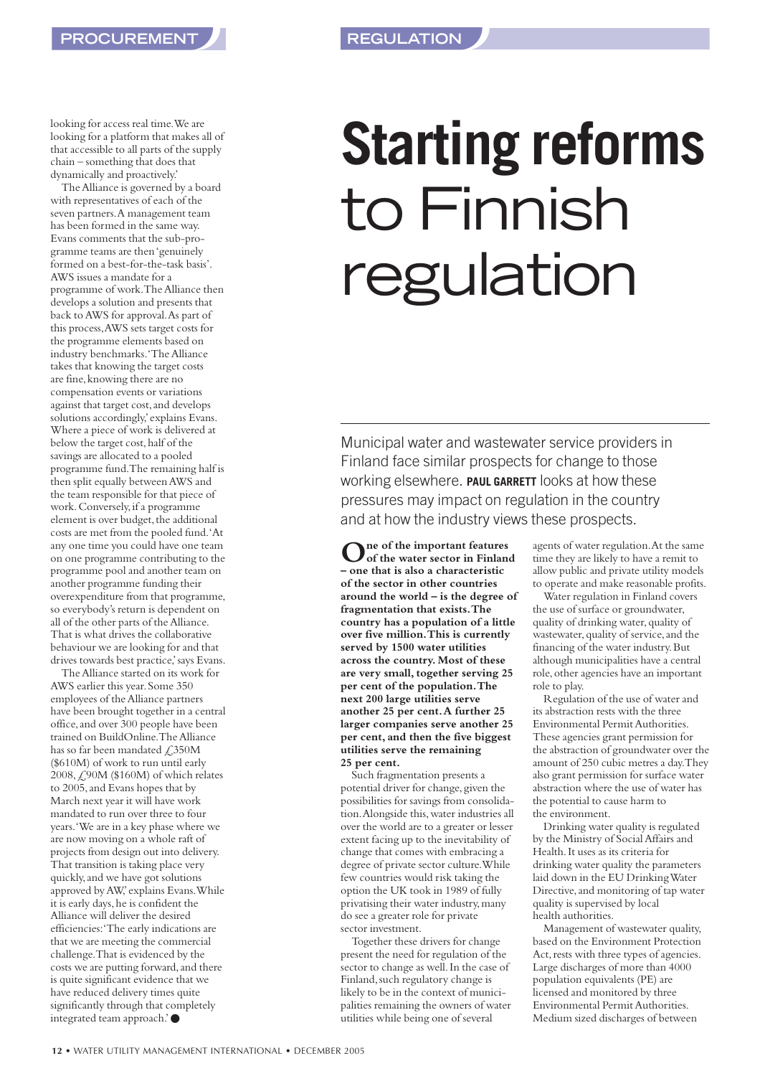looking for access real time.We are looking for a platform that makes all of that accessible to all parts of the supply chain – something that does that dynamically and proactively.'

The Alliance is governed by a board with representatives of each of the seven partners.A management team has been formed in the same way. Evans comments that the sub-programme teams are then 'genuinely formed on a best-for-the-task basis'. AWS issues a mandate for a programme of work.The Alliance then develops a solution and presents that back to AWS for approval.As part of this process,AWS sets target costs for the programme elements based on industry benchmarks.'The Alliance takes that knowing the target costs are fine,knowing there are no compensation events or variations against that target cost,and develops solutions accordingly,'explains Evans. Where a piece of work is delivered at below the target cost, half of the savings are allocated to a pooled programme fund.The remaining half is then split equally between AWS and the team responsible for that piece of work.Conversely,if a programme element is over budget, the additional costs are met from the pooled fund.'At any one time you could have one team on one programme contributing to the programme pool and another team on another programme funding their overexpenditure from that programme, so everybody's return is dependent on all of the other parts of the Alliance. That is what drives the collaborative behaviour we are looking for and that drives towards best practice,'says Evans.

The Alliance started on its work for AWS earlier this year.Some 350 employees of the Alliance partners have been brought together in a central office,and over 300 people have been trained on BuildOnline.The Alliance has so far been mandated  $\angle 350M$ (\$610M) of work to run until early 2008,£90M (\$160M) of which relates to 2005,and Evans hopes that by March next year it will have work mandated to run over three to four years.'We are in a key phase where we are now moving on a whole raft of projects from design out into delivery. That transition is taking place very quickly,and we have got solutions approved by AW,' explains Evans. While it is early days, he is confident the Alliance will deliver the desired efficiencies:'The early indications are that we are meeting the commercial challenge.That is evidenced by the costs we are putting forward, and there is quite significant evidence that we have reduced delivery times quite significantly through that completely integrated team approach.'●

## **Starting reforms**  to Finnish regulation

Municipal water and wastewater service providers in Finland face similar prospects for change to those working elsewhere. **PAUL GARRETT** looks at how these pressures may impact on regulation in the country and at how the industry views these prospects.

**One of the important features of the water sector in Finland – one that is also a characteristic of the sector in other countries around the world – is the degree of fragmentation that exists.The country has a population of a little over five million.This is currently served by 1500 water utilities across the country.Most of these are very small, together serving 25 per cent of the population.The next 200 large utilities serve another 25 per cent.A further 25 larger companies serve another 25 per cent, and then the five biggest utilities serve the remaining 25 per cent.**

Such fragmentation presents a potential driver for change, given the possibilities for savings from consolidation.Alongside this,water industries all over the world are to a greater or lesser extent facing up to the inevitability of change that comes with embracing a degree of private sector culture.While few countries would risk taking the option the UK took in 1989 of fully privatising their water industry,many do see a greater role for private sector investment.

Together these drivers for change present the need for regulation of the sector to change as well.In the case of Finland,such regulatory change is likely to be in the context of municipalities remaining the owners of water utilities while being one of several

agents of water regulation.At the same time they are likely to have a remit to allow public and private utility models to operate and make reasonable profits.

Water regulation in Finland covers the use of surface or groundwater, quality of drinking water,quality of wastewater, quality of service, and the financing of the water industry.But although municipalities have a central role,other agencies have an important role to play.

Regulation of the use of water and its abstraction rests with the three Environmental Permit Authorities. These agencies grant permission for the abstraction of groundwater over the amount of 250 cubic metres a day.They also grant permission for surface water abstraction where the use of water has the potential to cause harm to the environment.

Drinking water quality is regulated by the Ministry of Social Affairs and Health.It uses as its criteria for drinking water quality the parameters laid down in the EU Drinking Water Directive, and monitoring of tap water quality is supervised by local health authorities.

Management of wastewater quality, based on the Environment Protection Act, rests with three types of agencies. Large discharges of more than 4000 population equivalents (PE) are licensed and monitored by three Environmental Permit Authorities. Medium sized discharges of between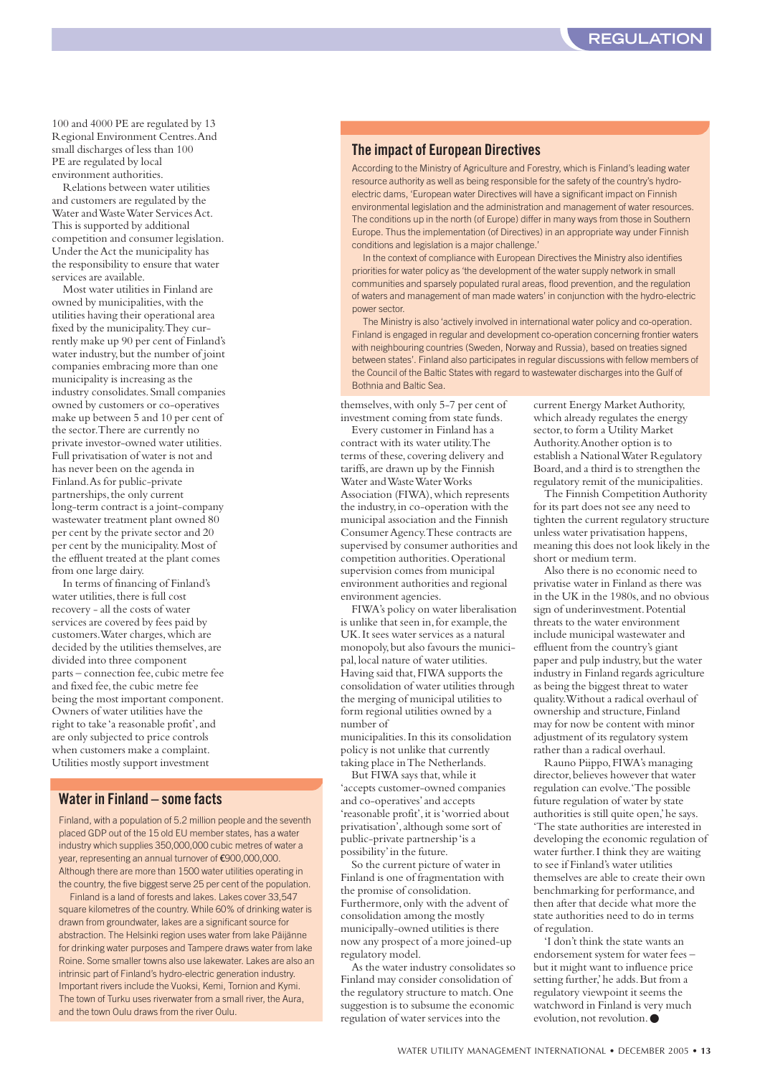100 and 4000 PE are regulated by 13 Regional Environment Centres.And small discharges of less than 100 PE are regulated by local environment authorities.

Relations between water utilities and customers are regulated by the Water and Waste Water Services Act. This is supported by additional competition and consumer legislation. Under the Act the municipality has the responsibility to ensure that water services are available.

Most water utilities in Finland are owned by municipalities,with the utilities having their operational area fixed by the municipality.They currently make up 90 per cent of Finland's water industry, but the number of joint companies embracing more than one municipality is increasing as the industry consolidates.Small companies owned by customers or co-operatives make up between 5 and 10 per cent of the sector.There are currently no private investor-owned water utilities. Full privatisation of water is not and has never been on the agenda in Finland.As for public-private partnerships, the only current long-term contract is a joint-company wastewater treatment plant owned 80 per cent by the private sector and 20 per cent by the municipality.Most of the effluent treated at the plant comes from one large dairy.

In terms of financing of Finland's water utilities, there is full cost recovery - all the costs of water services are covered by fees paid by customers. Water charges, which are decided by the utilities themselves, are divided into three component parts – connection fee,cubic metre fee and fixed fee,the cubic metre fee being the most important component. Owners of water utilities have the right to take 'a reasonable profit',and are only subjected to price controls when customers make a complaint. Utilities mostly support investment

#### **Water in Finland – some facts**

Finland, with a population of 5.2 million people and the seventh placed GDP out of the 15 old EU member states, has a water industry which supplies 350,000,000 cubic metres of water a year, representing an annual turnover of €900,000,000. Although there are more than 1500 water utilities operating in the country, the five biggest serve 25 per cent of the population.

Finland is a land of forests and lakes. Lakes cover 33,547 square kilometres of the country. While 60% of drinking water is drawn from groundwater, lakes are a significant source for abstraction. The Helsinki region uses water from lake Päijänne for drinking water purposes and Tampere draws water from lake Roine. Some smaller towns also use lakewater. Lakes are also an intrinsic part of Finland's hydro-electric generation industry. Important rivers include the Vuoksi, Kemi, Tornion and Kymi. The town of Turku uses riverwater from a small river, the Aura and the town Oulu draws from the river Oulu.

#### **The impact of European Directives**

According to the Ministry of Agriculture and Forestry, which is Finland's leading water resource authority as well as being responsible for the safety of the country's hydroelectric dams, 'European water Directives will have a significant impact on Finnish environmental legislation and the administration and management of water resources. The conditions up in the north (of Europe) differ in many ways from those in Southern Europe. Thus the implementation (of Directives) in an appropriate way under Finnish conditions and legislation is a major challenge.'

In the context of compliance with European Directives the Ministry also identifies priorities for water policy as 'the development of the water supply network in small communities and sparsely populated rural areas, flood prevention, and the regulation of waters and management of man made waters' in conjunction with the hydro-electric power sector.

The Ministry is also 'actively involved in international water policy and co-operation. Finland is engaged in regular and development co-operation concerning frontier waters with neighbouring countries (Sweden, Norway and Russia), based on treaties signed between states'. Finland also participates in regular discussions with fellow members of the Council of the Baltic States with regard to wastewater discharges into the Gulf of Bothnia and Baltic Sea.

themselves,with only 5-7 per cent of investment coming from state funds.

Every customer in Finland has a contract with its water utility.The terms of these, covering delivery and tariffs,are drawn up by the Finnish Water and Waste Water Works Association (FIWA), which represents the industry,in co-operation with the municipal association and the Finnish Consumer Agency.These contracts are supervised by consumer authorities and competition authorities.Operational supervision comes from municipal environment authorities and regional environment agencies.

FIWA's policy on water liberalisation is unlike that seen in,for example,the UK.It sees water services as a natural monopoly,but also favours the municipal,local nature of water utilities. Having said that, FIWA supports the consolidation of water utilities through the merging of municipal utilities to form regional utilities owned by a number of

municipalities.In this its consolidation policy is not unlike that currently taking place in The Netherlands.

But FIWA says that,while it 'accepts customer-owned companies and co-operatives'and accepts 'reasonable profit', it is 'worried about privatisation', although some sort of public-private partnership 'is a possibility'in the future.

So the current picture of water in Finland is one of fragmentation with the promise of consolidation. Furthermore, only with the advent of consolidation among the mostly municipally-owned utilities is there now any prospect of a more joined-up regulatory model.

As the water industry consolidates so Finland may consider consolidation of the regulatory structure to match.One suggestion is to subsume the economic regulation of water services into the

current Energy Market Authority, which already regulates the energy sector, to form a Utility Market Authority.Another option is to establish a National Water Regulatory Board,and a third is to strengthen the regulatory remit of the municipalities.

The Finnish Competition Authority for its part does not see any need to tighten the current regulatory structure unless water privatisation happens, meaning this does not look likely in the short or medium term.

Also there is no economic need to privatise water in Finland as there was in the UK in the 1980s, and no obvious sign of underinvestment.Potential threats to the water environment include municipal wastewater and effluent from the country's giant paper and pulp industry, but the water industry in Finland regards agriculture as being the biggest threat to water quality.Without a radical overhaul of ownership and structure, Finland may for now be content with minor adjustment of its regulatory system rather than a radical overhaul.

Rauno Piippo,FIWA's managing director, believes however that water regulation can evolve.'The possible future regulation of water by state authorities is still quite open,'he says. 'The state authorities are interested in developing the economic regulation of water further.I think they are waiting to see if Finland's water utilities themselves are able to create their own benchmarking for performance,and then after that decide what more the state authorities need to do in terms of regulation.

'I don't think the state wants an endorsement system for water fees – but it might want to influence price setting further,' he adds. But from a regulatory viewpoint it seems the watchword in Finland is very much evolution, not revolution. ●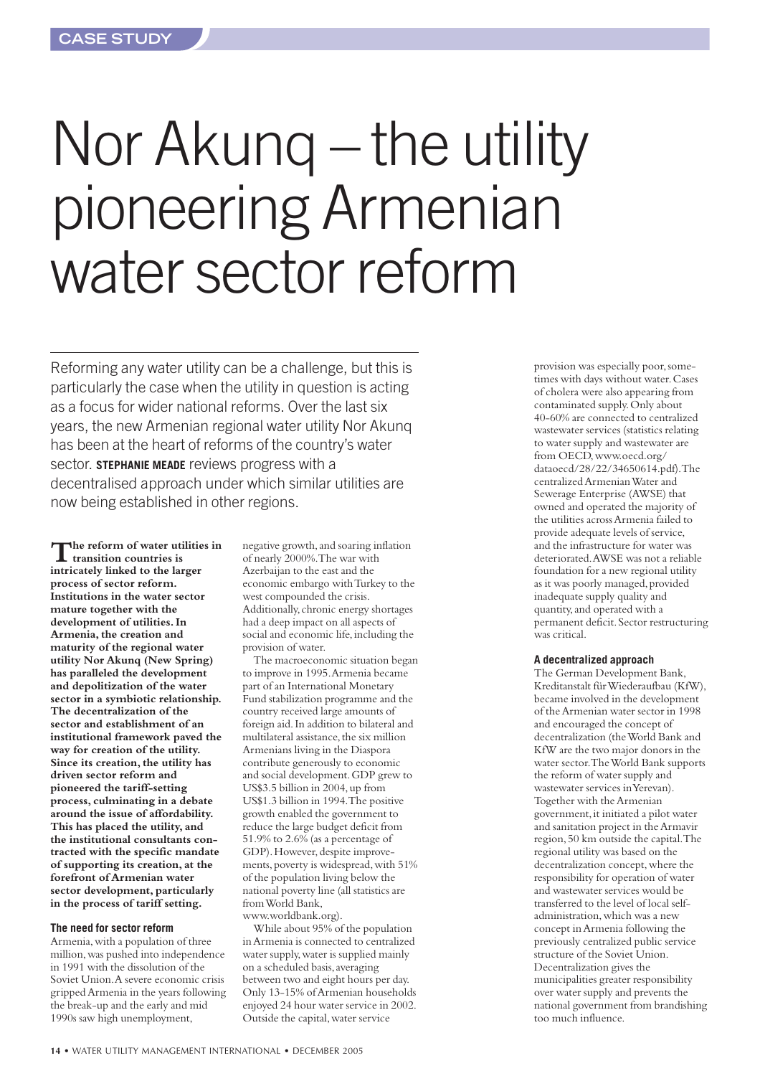## Nor Akunq – the utility pioneering Armenian water sector reform

Reforming any water utility can be a challenge, but this is particularly the case when the utility in question is acting as a focus for wider national reforms. Over the last six years, the new Armenian regional water utility Nor Akunq has been at the heart of reforms of the country's water sector. **STEPHANIE MEADE** reviews progress with a decentralised approach under which similar utilities are now being established in other regions.

**The reform of water utilities in transition countries is intricately linked to the larger process of sector reform. Institutions in the water sector mature together with the development of utilities. In Armenia, the creation and maturity of the regional water utility Nor Akunq (New Spring) has paralleled the development and depolitization of the water sector in a symbiotic relationship. The decentralization of the sector and establishment of an institutional framework paved the way for creation of the utility. Since its creation, the utility has driven sector reform and pioneered the tariff-setting process, culminating in a debate around the issue of affordability. This has placed the utility,and the institutional consultants contracted with the specific mandate of supporting its creation, at the forefront of Armenian water sector development, particularly in the process of tariff setting.**

#### **The need for sector reform**

Armenia,with a population of three million,was pushed into independence in 1991 with the dissolution of the Soviet Union.A severe economic crisis gripped Armenia in the years following the break-up and the early and mid 1990s saw high unemployment,

negative growth,and soaring inflation of nearly 2000%.The war with Azerbaijan to the east and the economic embargo with Turkey to the west compounded the crisis. Additionally,chronic energy shortages had a deep impact on all aspects of social and economic life, including the provision of water.

The macroeconomic situation began to improve in 1995.Armenia became part of an International Monetary Fund stabilization programme and the country received large amounts of foreign aid.In addition to bilateral and multilateral assistance, the six million Armenians living in the Diaspora contribute generously to economic and social development.GDP grew to US\$3.5 billion in 2004,up from US\$1.3 billion in 1994.The positive growth enabled the government to reduce the large budget deficit from 51.9% to 2.6% (as a percentage of GDP). However, despite improvements, poverty is widespread, with 51% of the population living below the national poverty line (all statistics are from World Bank, www.worldbank.org).

While about 95% of the population in Armenia is connected to centralized water supply,water is supplied mainly on a scheduled basis,averaging between two and eight hours per day. Only 13-15% of Armenian households enjoyed 24 hour water service in 2002. Outside the capital,water service

provision was especially poor,sometimes with days without water.Cases of cholera were also appearing from contaminated supply.Only about 40-60% are connected to centralized wastewater services (statistics relating to water supply and wastewater are from OECD,www.oecd.org/ dataoecd/28/22/34650614.pdf).The centralized Armenian Water and Sewerage Enterprise (AWSE) that owned and operated the majority of the utilities across Armenia failed to provide adequate levels of service, and the infrastructure for water was deteriorated.AWSE was not a reliable foundation for a new regional utility as it was poorly managed, provided inadequate supply quality and quantity,and operated with a permanent deficit.Sector restructuring was critical.

#### **A decentralized approach**

The German Development Bank, Kreditanstalt für Wiederaufbau (KfW), became involved in the development of the Armenian water sector in 1998 and encouraged the concept of decentralization (the World Bank and KfW are the two major donors in the water sector.The World Bank supports the reform of water supply and wastewater services in Yerevan). Together with the Armenian government,it initiated a pilot water and sanitation project in the Armavir region,50 km outside the capital.The regional utility was based on the decentralization concept,where the responsibility for operation of water and wastewater services would be transferred to the level of local selfadministration,which was a new concept in Armenia following the previously centralized public service structure of the Soviet Union. Decentralization gives the municipalities greater responsibility over water supply and prevents the national government from brandishing too much influence.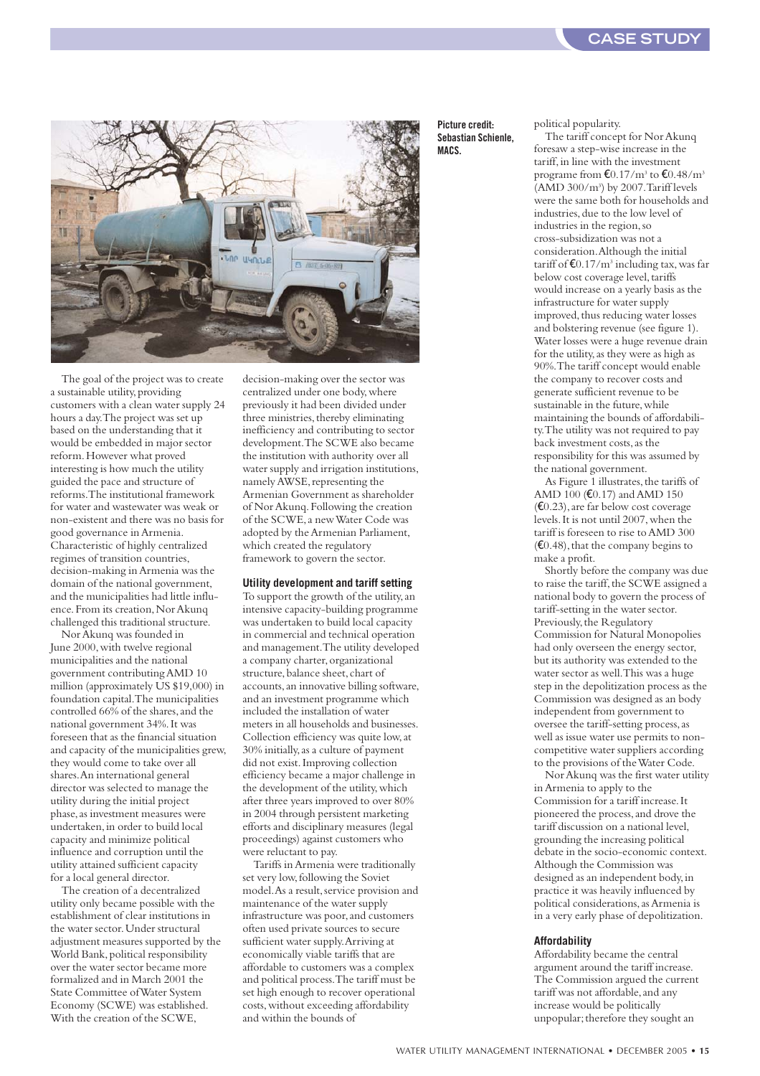

The goal of the project was to create a sustainable utility, providing customers with a clean water supply 24 hours a day.The project was set up based on the understanding that it would be embedded in major sector reform.However what proved interesting is how much the utility guided the pace and structure of reforms.The institutional framework for water and wastewater was weak or non-existent and there was no basis for good governance in Armenia. Characteristic of highly centralized regimes of transition countries, decision-making in Armenia was the domain of the national government, and the municipalities had little influence. From its creation, Nor Akunq challenged this traditional structure.

Nor Akunq was founded in June 2000, with twelve regional municipalities and the national government contributing AMD 10 million (approximately  $\check{US}$  \$19,000) in foundation capital.The municipalities controlled  $66\%$  of the shares, and the national government 34%.It was foreseen that as the financial situation and capacity of the municipalities grew, they would come to take over all shares.An international general director was selected to manage the utility during the initial project phase, as investment measures were undertaken,in order to build local capacity and minimize political influence and corruption until the utility attained sufficient capacity for a local general director.

The creation of a decentralized utility only became possible with the establishment of clear institutions in the water sector.Under structural adjustment measures supported by the World Bank, political responsibility over the water sector became more formalized and in March 2001 the State Committee of Water System Economy (SCWE) was established. With the creation of the SCWE,

decision-making over the sector was centralized under one body,where previously it had been divided under three ministries, thereby eliminating inefficiency and contributing to sector development.The SCWE also became the institution with authority over all water supply and irrigation institutions, namely AWSE, representing the Armenian Government as shareholder of Nor Akunq.Following the creation of the SCWE,a new Water Code was adopted by the Armenian Parliament, which created the regulatory framework to govern the sector.

#### **Utility development and tariff setting**

To support the growth of the utility,an intensive capacity-building programme was undertaken to build local capacity in commercial and technical operation and management.The utility developed a company charter, organizational structure, balance sheet, chart of accounts,an innovative billing software, and an investment programme which included the installation of water meters in all households and businesses. Collection efficiency was quite low,at 30% initially,as a culture of payment did not exist.Improving collection efficiency became a major challenge in the development of the utility,which after three years improved to over 80% in 2004 through persistent marketing efforts and disciplinary measures (legal proceedings) against customers who were reluctant to pay.

Tariffs in Armenia were traditionally set very low,following the Soviet model. As a result, service provision and maintenance of the water supply infrastructure was poor, and customers often used private sources to secure sufficient water supply.Arriving at economically viable tariffs that are affordable to customers was a complex and political process.The tariff must be set high enough to recover operational costs,without exceeding affordability and within the bounds of

#### **Picture credit: Sebastian Schienle, MACS.**

political popularity.

The tariff concept for Nor Akunq foresaw a step-wise increase in the tariff, in line with the investment programe from  $\text{\textsterling}0.17/m^3$  to  $\text{\textsterling}0.48/m^3$ (AMD 300/m3 ) by 2007.Tariff levels were the same both for households and industries, due to the low level of industries in the region,so cross-subsidization was not a consideration.Although the initial tariff of  $E$ 0.17/m<sup>3</sup> including tax, was far below cost coverage level, tariffs would increase on a yearly basis as the infrastructure for water supply improved, thus reducing water losses and bolstering revenue (see figure 1). Water losses were a huge revenue drain for the utility,as they were as high as 90%.The tariff concept would enable the company to recover costs and generate sufficient revenue to be sustainable in the future, while maintaining the bounds of affordability.The utility was not required to pay back investment costs,as the responsibility for this was assumed by the national government.

As Figure 1 illustrates, the tariffs of AMD 100 (€0.17) and AMD 150  $(E0.23)$ , are far below cost coverage levels.It is not until 2007,when the tariff is foreseen to rise to AMD 300  $(€0.48)$ , that the company begins to make a profit.

Shortly before the company was due to raise the tariff, the SCWE assigned a national body to govern the process of tariff-setting in the water sector. Previously, the Regulatory Commission for Natural Monopolies had only overseen the energy sector, but its authority was extended to the water sector as well.This was a huge step in the depolitization process as the Commission was designed as an body independent from government to oversee the tariff-setting process,as well as issue water use permits to noncompetitive water suppliers according to the provisions of the Water Code.

Nor Akunq was the first water utility in Armenia to apply to the Commission for a tariff increase.It pioneered the process,and drove the tariff discussion on a national level, grounding the increasing political debate in the socio-economic context. Although the Commission was designed as an independent body,in practice it was heavily influenced by political considerations, as Armenia is in a very early phase of depolitization.

#### **Affordability**

Affordability became the central argument around the tariff increase. The Commission argued the current tariff was not affordable, and any increase would be politically unpopular; therefore they sought an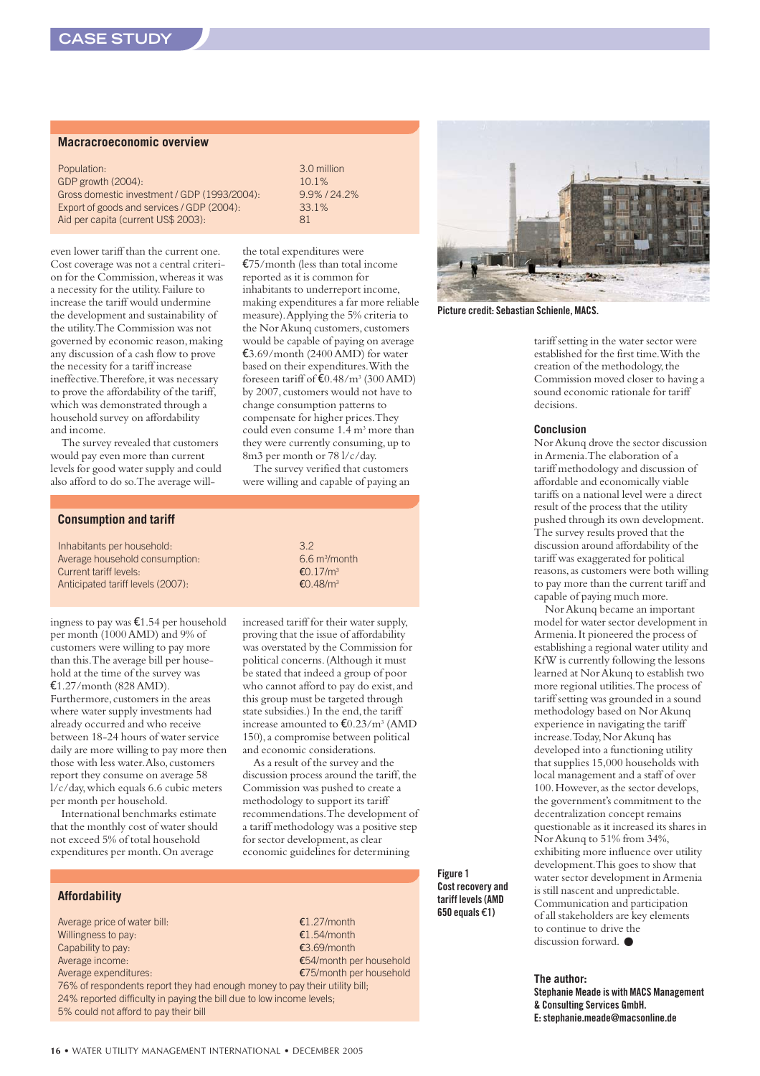#### **Macracroeconomic overview**

| Population:                                  | 3.0 mil |
|----------------------------------------------|---------|
| GDP growth (2004):                           | 10.1%   |
| Gross domestic investment / GDP (1993/2004): | $9.9\%$ |
| Export of goods and services / GDP (2004):   | 33.1%   |
| Aid per capita (current US\$ 2003):          | 81      |

even lower tariff than the current one. Cost coverage was not a central criterion for the Commission,whereas it was a necessity for the utility.Failure to increase the tariff would undermine the development and sustainability of the utility.The Commission was not governed by economic reason,making any discussion of a cash flow to prove the necessity for a tariff increase ineffective. Therefore, it was necessary to prove the affordability of the tariff, which was demonstrated through a household survey on affordability and income.

The survey revealed that customers would pay even more than current levels for good water supply and could also afford to do so.The average will3.0 million Gross domestic investment / GDP (1993/2004): 9.9% / 24.2%

the total expenditures were €75/month (less than total income reported as it is common for inhabitants to underreport income, making expenditures a far more reliable measure).Applying the 5% criteria to the Nor Akunq customers, customers would be capable of paying on average  $$3.69/month (2400 AMD)$  for water based on their expenditures.With the foreseen tariff of  $E(0.48/m^3)(300 \text{ AMD})$ by 2007,customers would not have to change consumption patterns to compensate for higher prices.They could even consume 1.4 m<sup>3</sup> more than they were currently consuming, up to 8m3 per month or 78 l/c/day.

The survey verified that customers were willing and capable of paying an

#### **Consumption and tariff**

Inhabitants per household: 3.2 Average household consumption: Current tariff levels: €0.17/m3 Anticipated tariff levels (2007): €0.48/m<sup>3</sup>

ingness to pay was €1.54 per household per month (1000 AMD) and 9% of customers were willing to pay more than this.The average bill per household at the time of the survey was €1.27/month (828 AMD). Furthermore, customers in the areas where water supply investments had already occurred and who receive between 18-24 hours of water service daily are more willing to pay more then those with less water. Also, customers report they consume on average 58 l/c/day,which equals 6.6 cubic meters per month per household.

International benchmarks estimate that the monthly cost of water should not exceed 5% of total household expenditures per month.On average

#### **Affordability**

Average price of water bill:  $\epsilon$ 1.27/month Willingness to pay:  $E1.54/m$  on the  $E1.54/m$  on the  $E1.54/m$  on the  $E1.54/m$  on the  $E1.54/m$  on the  $E1.54/m$  on the  $E1.54/m$  on the  $E1.54/m$  on the  $E1.54/m$  on the  $E1.54/m$  on the  $E1.54/m$  on the  $E1.54/m$  on the  $E1.54/m$  Capability to pay:  $\epsilon$ 3.69/month Average income: €54/month per household Average expenditures:  $€75/m$ onth per household 76% of respondents report they had enough money to pay their utility bill; 24% reported difficulty in paying the bill due to low income levels;

5% could not afford to pay their bill

6.6 m<sup>3</sup>/month

increased tariff for their water supply, proving that the issue of affordability was overstated by the Commission for political concerns.(Although it must be stated that indeed a group of poor who cannot afford to pay do exist,and this group must be targeted through state subsidies.) In the end, the tariff increase amounted to  $\text{\textsterling}0.23/m^3$  (AMD 150),a compromise between political and economic considerations.

As a result of the survey and the discussion process around the tariff, the Commission was pushed to create a methodology to support its tariff recommendations.The development of a tariff methodology was a positive step for sector development,as clear economic guidelines for determining

> **Figure 1 Cost recovery and tariff levels (AMD 650 equals** €**1)**



**Picture credit: Sebastian Schienle, MACS.**

tariff setting in the water sector were established for the first time.With the creation of the methodology, the Commission moved closer to having a sound economic rationale for tariff decisions.

#### **Conclusion**

Nor Akunq drove the sector discussion in Armenia.The elaboration of a tariff methodology and discussion of affordable and economically viable tariffs on a national level were a direct result of the process that the utility pushed through its own development. The survey results proved that the discussion around affordability of the tariff was exaggerated for political reasons,as customers were both willing to pay more than the current tariff and capable of paying much more.

Nor Akunq became an important model for water sector development in Armenia.It pioneered the process of establishing a regional water utility and KfW is currently following the lessons learned at Nor Akunq to establish two more regional utilities.The process of tariff setting was grounded in a sound methodology based on Nor Akunq experience in navigating the tariff increase. Today, Nor Akunq has developed into a functioning utility that supplies 15,000 households with local management and a staff of over 100.However,as the sector develops, the government's commitment to the decentralization concept remains questionable as it increased its shares in Nor Akunq to 51% from 34%, exhibiting more influence over utility development.This goes to show that water sector development in Armenia is still nascent and unpredictable. Communication and participation of all stakeholders are key elements to continue to drive the discussion forward. ●

**The author:**

**Stephanie Meade is with MACS Management & Consulting Services GmbH. E: stephanie.meade@macsonline.de**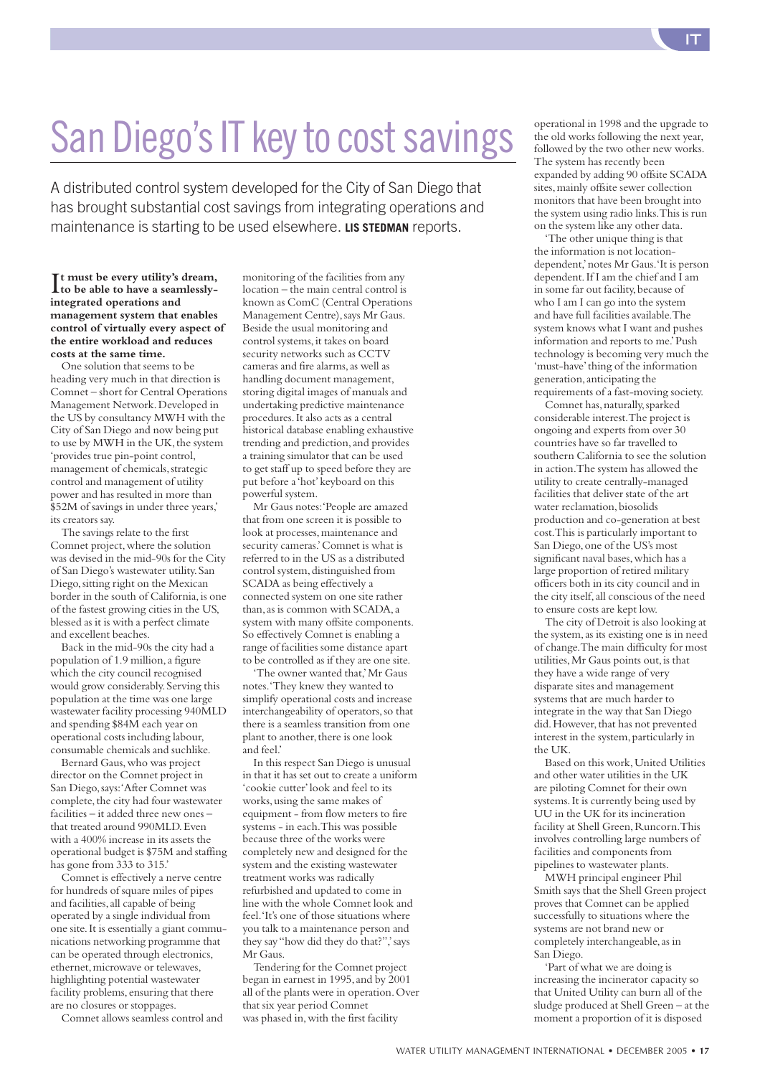## San Diego's IT key to cost savings

A distributed control system developed for the City of San Diego that has brought substantial cost savings from integrating operations and maintenance is starting to be used elsewhere. **LIS STEDMAN** reports.

It must be every utility's dream,<br>to be able to have a seamlessly**to be able to have a seamlesslyintegrated operations and management system that enables control of virtually every aspect of the entire workload and reduces costs at the same time.**

One solution that seems to be heading very much in that direction is Comnet – short for Central Operations Management Network.Developed in the US by consultancy MWH with the City of San Diego and now being put to use by MWH in the UK, the system 'provides true pin-point control, management of chemicals, strategic control and management of utility power and has resulted in more than \$52M of savings in under three years,' its creators say.

The savings relate to the first Comnet project,where the solution was devised in the mid-90s for the City of San Diego's wastewater utility.San Diego,sitting right on the Mexican border in the south of California,is one of the fastest growing cities in the US, blessed as it is with a perfect climate and excellent beaches.

Back in the mid-90s the city had a population of 1.9 million,a figure which the city council recognised would grow considerably.Serving this population at the time was one large wastewater facility processing 940MLD and spending \$84M each year on operational costs including labour, consumable chemicals and suchlike.

Bernard Gaus,who was project director on the Comnet project in San Diego,says:'After Comnet was complete, the city had four wastewater facilities – it added three new ones – that treated around 990MLD.Even with a 400% increase in its assets the operational budget is \$75M and staffing has gone from 333 to 315.'

Comnet is effectively a nerve centre for hundreds of square miles of pipes and facilities,all capable of being operated by a single individual from one site.It is essentially a giant communications networking programme that can be operated through electronics, ethernet, microwave or telewaves, highlighting potential wastewater facility problems, ensuring that there are no closures or stoppages.

Comnet allows seamless control and

monitoring of the facilities from any location – the main central control is known as ComC (Central Operations Management Centre),says Mr Gaus. Beside the usual monitoring and control systems, it takes on board security networks such as CCTV cameras and fire alarms,as well as handling document management, storing digital images of manuals and undertaking predictive maintenance procedures.It also acts as a central historical database enabling exhaustive trending and prediction, and provides a training simulator that can be used to get staff up to speed before they are put before a 'hot' keyboard on this powerful system.

Mr Gaus notes:'People are amazed that from one screen it is possible to look at processes, maintenance and security cameras.'Comnet is what is referred to in the US as a distributed control system, distinguished from SCADA as being effectively a connected system on one site rather than, as is common with SCADA, a system with many offsite components. So effectively Comnet is enabling a range of facilities some distance apart to be controlled as if they are one site.

'The owner wanted that,'Mr Gaus notes.'They knew they wanted to simplify operational costs and increase interchangeability of operators, so that there is a seamless transition from one plant to another, there is one look and feel.'

In this respect San Diego is unusual in that it has set out to create a uniform 'cookie cutter'look and feel to its works,using the same makes of equipment - from flow meters to fire systems - in each.This was possible because three of the works were completely new and designed for the system and the existing wastewater treatment works was radically refurbished and updated to come in line with the whole Comnet look and feel. 'It's one of those situations where you talk to a maintenance person and they say "how did they do that?",' says Mr Gaus.

Tendering for the Comnet project began in earnest in 1995,and by 2001 all of the plants were in operation.Over that six year period Comnet was phased in,with the first facility

operational in 1998 and the upgrade to the old works following the next year, followed by the two other new works. The system has recently been expanded by adding 90 offsite SCADA sites, mainly offsite sewer collection monitors that have been brought into the system using radio links.This is run on the system like any other data.

'The other unique thing is that the information is not locationdependent,'notes Mr Gaus.'It is person dependent.If I am the chief and I am in some far out facility, because of who I am I can go into the system and have full facilities available.The system knows what I want and pushes information and reports to me.'Push technology is becoming very much the 'must-have'thing of the information generation,anticipating the requirements of a fast-moving society.

Comnet has, naturally, sparked considerable interest.The project is ongoing and experts from over 30 countries have so far travelled to southern California to see the solution in action.The system has allowed the utility to create centrally-managed facilities that deliver state of the art water reclamation, biosolids production and co-generation at best cost.This is particularly important to San Diego,one of the US's most significant naval bases, which has a large proportion of retired military officers both in its city council and in the city itself,all conscious of the need to ensure costs are kept low.

The city of Detroit is also looking at the system, as its existing one is in need of change.The main difficulty for most utilities,Mr Gaus points out,is that they have a wide range of very disparate sites and management systems that are much harder to integrate in the way that San Diego did. However, that has not prevented interest in the system, particularly in the UK.

Based on this work,United Utilities and other water utilities in the UK are piloting Comnet for their own systems.It is currently being used by UU in the UK for its incineration facility at Shell Green, Runcorn. This involves controlling large numbers of facilities and components from pipelines to wastewater plants.

MWH principal engineer Phil Smith says that the Shell Green project proves that Comnet can be applied successfully to situations where the systems are not brand new or completely interchangeable, as in San Diego.

'Part of what we are doing is increasing the incinerator capacity so that United Utility can burn all of the sludge produced at Shell Green – at the moment a proportion of it is disposed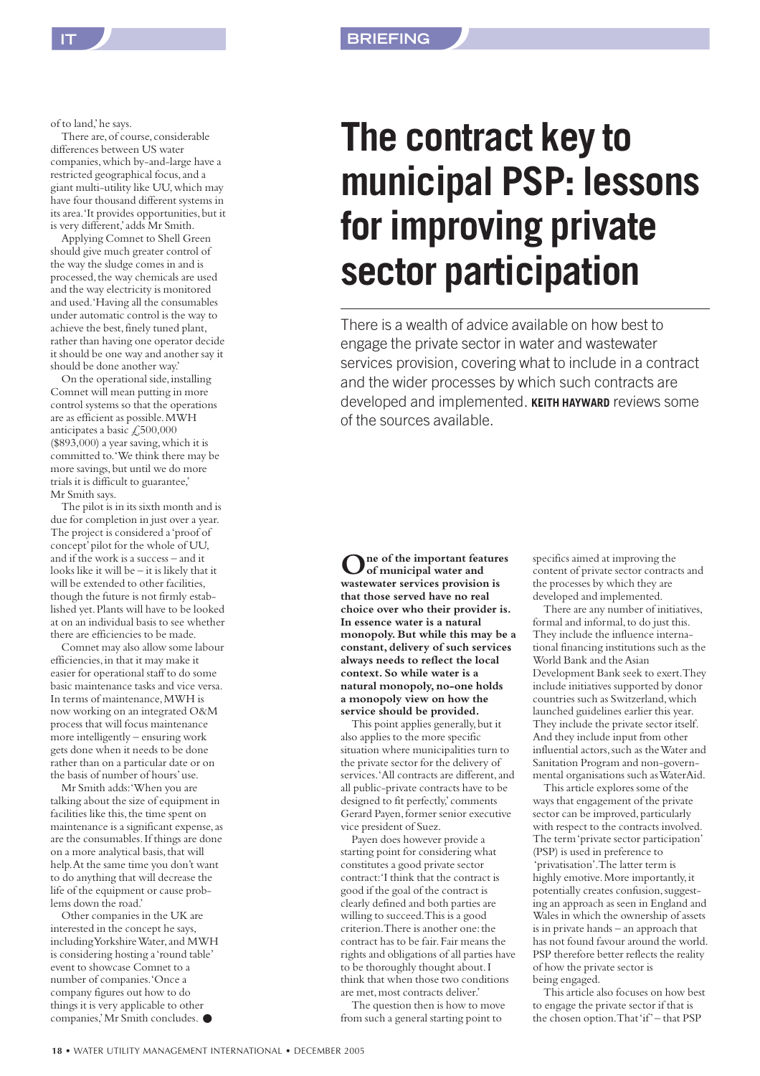of to land,'he says.

There are, of course, considerable differences between US water companies,which by-and-large have a restricted geographical focus,and a giant multi-utility like UU,which may have four thousand different systems in its area.'It provides opportunities, but it is very different,'adds Mr Smith.

Applying Comnet to Shell Green should give much greater control of the way the sludge comes in and is processed, the way chemicals are used and the way electricity is monitored and used.'Having all the consumables under automatic control is the way to achieve the best, finely tuned plant, rather than having one operator decide it should be one way and another say it should be done another way.'

On the operational side, installing Comnet will mean putting in more control systems so that the operations are as efficient as possible.MWH anticipates a basic  $\textcolor{red}{\mathcal{L}}$ ,500,000 (\$893,000) a year saving,which it is committed to.'We think there may be more savings, but until we do more trials it is difficult to guarantee,' Mr Smith says.

The pilot is in its sixth month and is due for completion in just over a year. The project is considered a 'proof of concept'pilot for the whole of UU, and if the work is a success – and it looks like it will be – it is likely that it will be extended to other facilities, though the future is not firmly established yet.Plants will have to be looked at on an individual basis to see whether there are efficiencies to be made.

Comnet may also allow some labour efficiencies,in that it may make it easier for operational staff to do some basic maintenance tasks and vice versa. In terms of maintenance,MWH is now working on an integrated O&M process that will focus maintenance more intelligently – ensuring work gets done when it needs to be done rather than on a particular date or on the basis of number of hours'use.

Mr Smith adds:'When you are talking about the size of equipment in facilities like this, the time spent on maintenance is a significant expense, as are the consumables.If things are done on a more analytical basis, that will help.At the same time you don't want to do anything that will decrease the life of the equipment or cause problems down the road.'

Other companies in the UK are interested in the concept he says, including Yorkshire Water,and MWH is considering hosting a 'round table' event to showcase Comnet to a number of companies.'Once a company figures out how to do things it is very applicable to other companies,'Mr Smith concludes. ●

## **The contract key to municipal PSP: lessons for improving private sector participation**

There is a wealth of advice available on how best to engage the private sector in water and wastewater services provision, covering what to include in a contract and the wider processes by which such contracts are developed and implemented. **KEITH HAYWARD** reviews some of the sources available.

**One of the important features of municipal water and wastewater services provision is that those served have no real choice over who their provider is. In essence water is a natural monopoly. But while this may be a constant, delivery of such services always needs to reflect the local context. So while water is a natural monopoly,no-one holds a monopoly view on how the service should be provided.**

This point applies generally, but it also applies to the more specific situation where municipalities turn to the private sector for the delivery of services.'All contracts are different, and all public-private contracts have to be designed to fit perfectly,'comments Gerard Payen, former senior executive vice president of Suez.

Payen does however provide a starting point for considering what constitutes a good private sector contract:'I think that the contract is good if the goal of the contract is clearly defined and both parties are willing to succeed.This is a good criterion. There is another one: the contract has to be fair.Fair means the rights and obligations of all parties have to be thoroughly thought about.I think that when those two conditions are met, most contracts deliver.'

The question then is how to move from such a general starting point to

specifics aimed at improving the content of private sector contracts and the processes by which they are developed and implemented.

There are any number of initiatives, formal and informal, to do just this. They include the influence international financing institutions such as the World Bank and the Asian Development Bank seek to exert.They include initiatives supported by donor countries such as Switzerland,which launched guidelines earlier this year. They include the private sector itself. And they include input from other influential actors, such as the Water and Sanitation Program and non-governmental organisations such as WaterAid.

This article explores some of the ways that engagement of the private sector can be improved, particularly with respect to the contracts involved. The term 'private sector participation' (PSP) is used in preference to 'privatisation'.The latter term is highly emotive.More importantly,it potentially creates confusion, suggesting an approach as seen in England and Wales in which the ownership of assets is in private hands – an approach that has not found favour around the world. PSP therefore better reflects the reality of how the private sector is being engaged.

This article also focuses on how best to engage the private sector if that is the chosen option.That 'if'– that PSP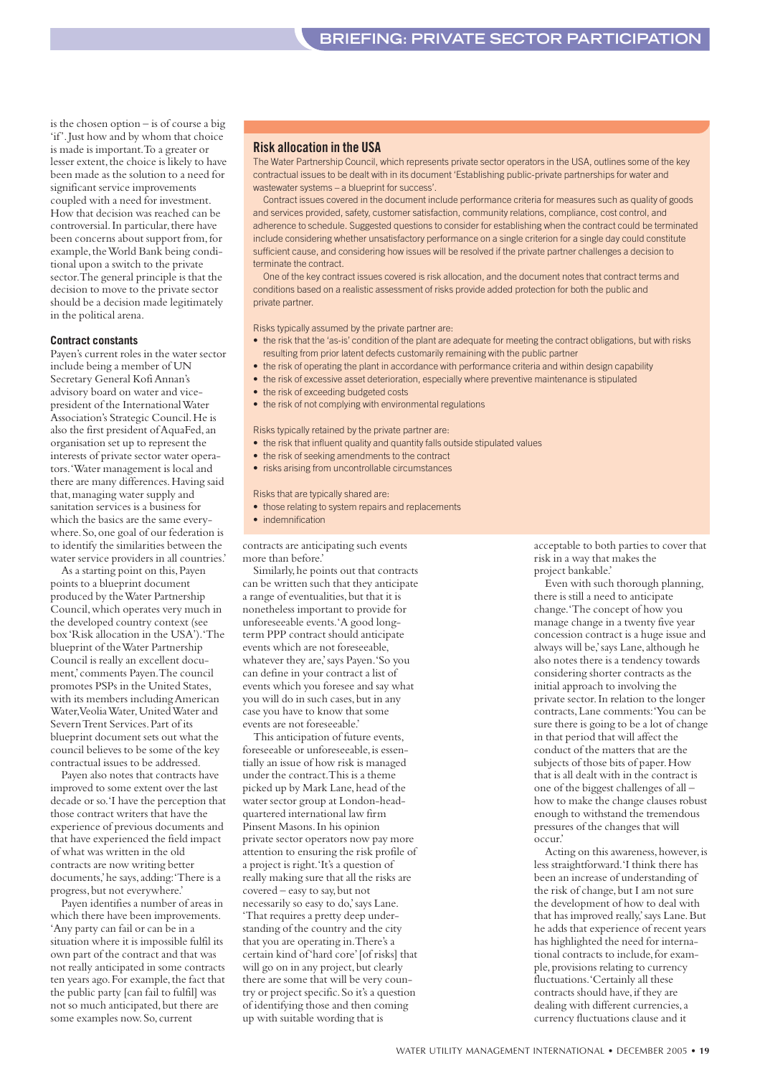is the chosen option – is of course a big 'if'. Just how and by whom that choice is made is important.To a greater or lesser extent, the choice is likely to have been made as the solution to a need for significant service improvements coupled with a need for investment. How that decision was reached can be controversial. In particular, there have been concerns about support from, for example,the World Bank being conditional upon a switch to the private sector.The general principle is that the decision to move to the private sector should be a decision made legitimately in the political arena.

#### **Contract constants**

Payen's current roles in the water sector include being a member of UN Secretary General Kofi Annan's advisory board on water and vicepresident of the International Water Association's Strategic Council.He is also the first president of AquaFed,an organisation set up to represent the interests of private sector water operators.'Water management is local and there are many differences.Having said that, managing water supply and sanitation services is a business for which the basics are the same everywhere.So,one goal of our federation is to identify the similarities between the water service providers in all countries.'

As a starting point on this,Payen points to a blueprint document produced by the Water Partnership Council,which operates very much in the developed country context (see box 'Risk allocation in the USA').'The blueprint of the Water Partnership Council is really an excellent document,'comments Payen.The council promotes PSPs in the United States, with its members including American Water, Veolia Water, United Water and Severn Trent Services.Part of its blueprint document sets out what the council believes to be some of the key contractual issues to be addressed.

Payen also notes that contracts have improved to some extent over the last decade or so.'I have the perception that those contract writers that have the experience of previous documents and that have experienced the field impact of what was written in the old contracts are now writing better documents,'he says,adding:'There is a progress,but not everywhere.'

Payen identifies a number of areas in which there have been improvements. 'Any party can fail or can be in a situation where it is impossible fulfil its own part of the contract and that was not really anticipated in some contracts ten years ago. For example, the fact that the public party [can fail to fulfil] was not so much anticipated, but there are some examples now. So, current

#### **Risk allocation in the USA**

The Water Partnership Council, which represents private sector operators in the USA, outlines some of the key contractual issues to be dealt with in its document 'Establishing public-private partnerships for water and wastewater systems – a blueprint for success'.

Contract issues covered in the document include performance criteria for measures such as quality of goods and services provided, safety, customer satisfaction, community relations, compliance, cost control, and adherence to schedule. Suggested questions to consider for establishing when the contract could be terminated include considering whether unsatisfactory performance on a single criterion for a single day could constitute sufficient cause, and considering how issues will be resolved if the private partner challenges a decision to terminate the contract

One of the key contract issues covered is risk allocation, and the document notes that contract terms and conditions based on a realistic assessment of risks provide added protection for both the public and private partner.

Risks typically assumed by the private partner are:

- the risk that the 'as-is' condition of the plant are adequate for meeting the contract obligations, but with risks resulting from prior latent defects customarily remaining with the public partner
- the risk of operating the plant in accordance with performance criteria and within design capability
- the risk of excessive asset deterioration, especially where preventive maintenance is stipulated
- the risk of exceeding budgeted costs
- the risk of not complying with environmental regulations

Risks typically retained by the private partner are:

- the risk that influent quality and quantity falls outside stipulated values
- the risk of seeking amendments to the contract
- risks arising from uncontrollable circumstances

#### Risks that are typically shared are:

- those relating to system repairs and replacements
- indemnification

contracts are anticipating such events more than before.'

Similarly,he points out that contracts can be written such that they anticipate a range of eventualities, but that it is nonetheless important to provide for unforeseeable events.'A good longterm PPP contract should anticipate events which are not foreseeable, whatever they are,'says Payen.'So you can define in your contract a list of events which you foresee and say what you will do in such cases, but in any case you have to know that some events are not foreseeable.'

This anticipation of future events, foreseeable or unforeseeable, is essentially an issue of how risk is managed under the contract.This is a theme picked up by Mark Lane, head of the water sector group at London-headquartered international law firm Pinsent Masons.In his opinion private sector operators now pay more attention to ensuring the risk profile of a project is right.'It's a question of really making sure that all the risks are covered – easy to say,but not necessarily so easy to do,'says Lane. 'That requires a pretty deep understanding of the country and the city that you are operating in.There's a certain kind of 'hard core'[of risks] that will go on in any project, but clearly there are some that will be very country or project specific.So it's a question of identifying those and then coming up with suitable wording that is

acceptable to both parties to cover that risk in a way that makes the project bankable.'

Even with such thorough planning, there is still a need to anticipate change.'The concept of how you manage change in a twenty five year concession contract is a huge issue and always will be,' says Lane, although he also notes there is a tendency towards considering shorter contracts as the initial approach to involving the private sector.In relation to the longer contracts,Lane comments:'You can be sure there is going to be a lot of change in that period that will affect the conduct of the matters that are the subjects of those bits of paper.How that is all dealt with in the contract is one of the biggest challenges of all – how to make the change clauses robust enough to withstand the tremendous pressures of the changes that will occur.'

Acting on this awareness, however, is less straightforward.'I think there has been an increase of understanding of the risk of change, but I am not sure the development of how to deal with that has improved really,' says Lane. But he adds that experience of recent years has highlighted the need for international contracts to include,for example, provisions relating to currency fluctuations.'Certainly all these contracts should have, if they are dealing with different currencies,a currency fluctuations clause and it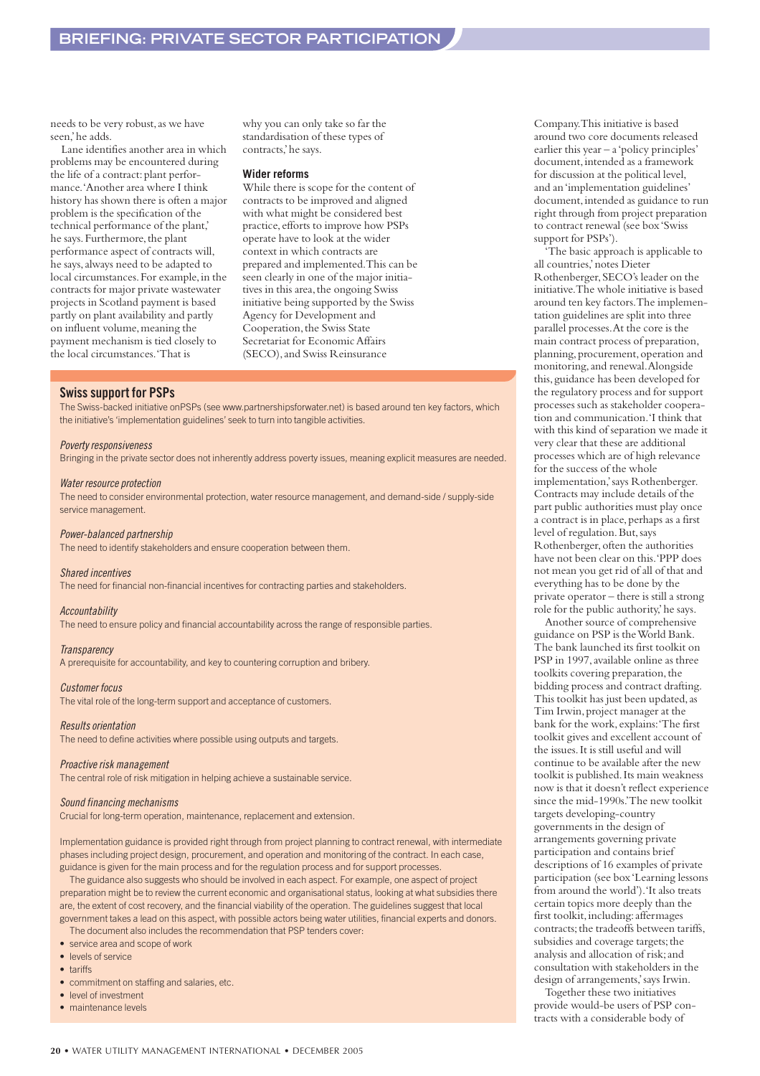needs to be very robust, as we have seen,'he adds.

Lane identifies another area in which problems may be encountered during the life of a contract: plant performance.'Another area where I think history has shown there is often a major problem is the specification of the technical performance of the plant,' he says. Furthermore, the plant performance aspect of contracts will, he says,always need to be adapted to local circumstances.For example,in the contracts for major private wastewater projects in Scotland payment is based partly on plant availability and partly on influent volume, meaning the payment mechanism is tied closely to the local circumstances.'That is

why you can only take so far the standardisation of these types of contracts,'he says.

#### **Wider reforms**

While there is scope for the content of contracts to be improved and aligned with what might be considered best practice,efforts to improve how PSPs operate have to look at the wider context in which contracts are prepared and implemented.This can be seen clearly in one of the major initiatives in this area, the ongoing Swiss initiative being supported by the Swiss Agency for Development and Cooperation, the Swiss State Secretariat for Economic Affairs (SECO),and Swiss Reinsurance

#### **Swiss support for PSPs**

The Swiss-backed initiative onPSPs (see www.partnershipsforwater.net) is based around ten key factors, which the initiative's 'implementation guidelines' seek to turn into tangible activities.

#### *Poverty responsiveness*

Bringing in the private sector does not inherently address poverty issues, meaning explicit measures are needed.

#### *Water resource protection*

The need to consider environmental protection, water resource management, and demand-side / supply-side service management.

#### *Power-balanced partnership*

The need to identify stakeholders and ensure cooperation between them.

#### *Shared incentives*

The need for financial non-financial incentives for contracting parties and stakeholders.

#### *Accountability*

The need to ensure policy and financial accountability across the range of responsible parties.

#### *Transparency*

A prerequisite for accountability, and key to countering corruption and bribery.

#### *Customer focus*

The vital role of the long-term support and acceptance of customers.

#### *Results orientation*

The need to define activities where possible using outputs and targets.

#### *Proactive risk management*

The central role of risk mitigation in helping achieve a sustainable service.

#### *Sound financing mechanisms*

Crucial for long-term operation, maintenance, replacement and extension.

Implementation guidance is provided right through from project planning to contract renewal, with intermediate phases including project design, procurement, and operation and monitoring of the contract. In each case, guidance is given for the main process and for the regulation process and for support processes.

The guidance also suggests who should be involved in each aspect. For example, one aspect of project preparation might be to review the current economic and organisational status, looking at what subsidies there are, the extent of cost recovery, and the financial viability of the operation. The guidelines suggest that local government takes a lead on this aspect, with possible actors being water utilities, financial experts and donors.

The document also includes the recommendation that PSP tenders cover:

- service area and scope of work
- levels of service
- tariffs
- commitment on staffing and salaries, etc.
- level of investment
- maintenance levels

Company.This initiative is based around two core documents released earlier this year – a 'policy principles' document, intended as a framework for discussion at the political level, and an 'implementation guidelines' document, intended as guidance to run right through from project preparation to contract renewal (see box 'Swiss support for PSPs').

'The basic approach is applicable to all countries,'notes Dieter Rothenberger,SECO's leader on the initiative.The whole initiative is based around ten key factors.The implementation guidelines are split into three parallel processes.At the core is the main contract process of preparation, planning, procurement, operation and monitoring,and renewal.Alongside this,guidance has been developed for the regulatory process and for support processes such as stakeholder cooperation and communication.'I think that with this kind of separation we made it very clear that these are additional processes which are of high relevance for the success of the whole implementation,'says Rothenberger. Contracts may include details of the part public authorities must play once a contract is in place, perhaps as a first level of regulation. But, says Rothenberger, often the authorities have not been clear on this.'PPP does not mean you get rid of all of that and everything has to be done by the private operator – there is still a strong role for the public authority,'he says.

Another source of comprehensive guidance on PSP is the World Bank. The bank launched its first toolkit on PSP in 1997, available online as three toolkits covering preparation, the bidding process and contract drafting. This toolkit has just been updated,as Tim Irwin,project manager at the bank for the work,explains:'The first toolkit gives and excellent account of the issues.It is still useful and will continue to be available after the new toolkit is published.Its main weakness now is that it doesn't reflect experience since the mid-1990s.'The new toolkit targets developing-country governments in the design of arrangements governing private participation and contains brief descriptions of 16 examples of private participation (see box 'Learning lessons from around the world').'It also treats certain topics more deeply than the first toolkit, including: affermages contracts; the tradeoffs between tariffs, subsidies and coverage targets; the analysis and allocation of risk;and consultation with stakeholders in the design of arrangements,'says Irwin.

Together these two initiatives provide would-be users of PSP contracts with a considerable body of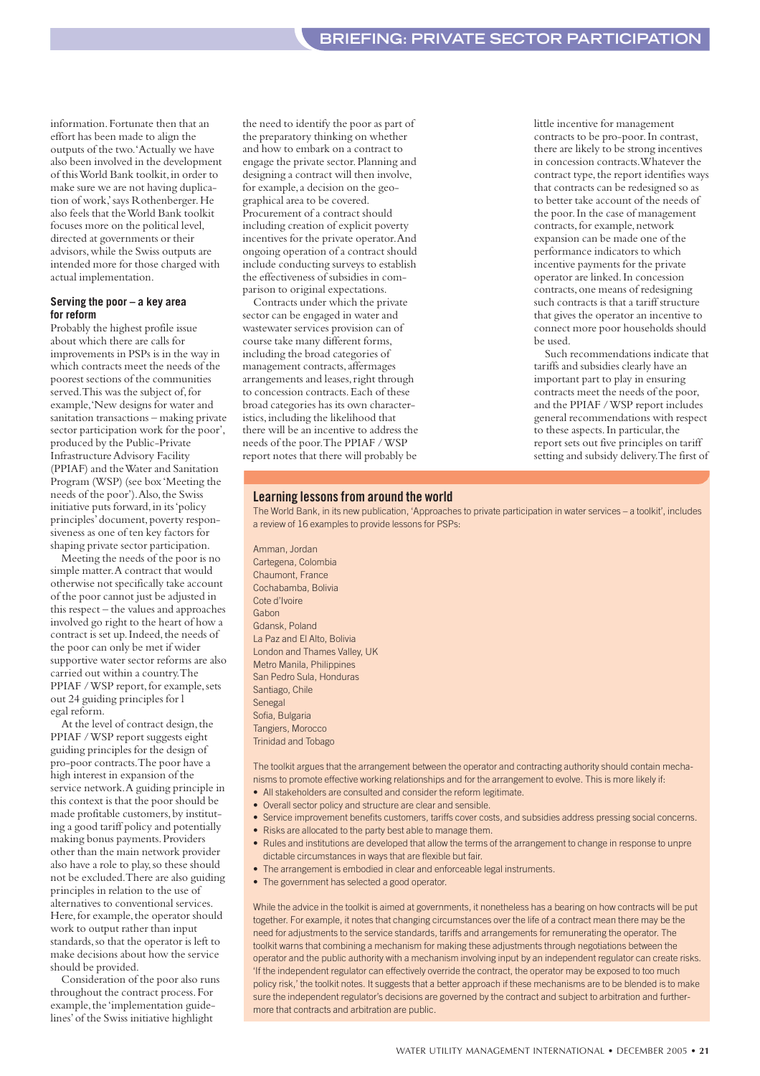information.Fortunate then that an effort has been made to align the outputs of the two.'Actually we have also been involved in the development of this World Bank toolkit,in order to make sure we are not having duplication of work,'says Rothenberger.He also feels that the World Bank toolkit focuses more on the political level, directed at governments or their advisors,while the Swiss outputs are intended more for those charged with actual implementation.

#### **Serving the poor – a key area for reform**

Probably the highest profile issue about which there are calls for improvements in PSPs is in the way in which contracts meet the needs of the poorest sections of the communities served. This was the subject of, for example,'New designs for water and sanitation transactions – making private sector participation work for the poor', produced by the Public-Private Infrastructure Advisory Facility (PPIAF) and the Water and Sanitation Program (WSP) (see box 'Meeting the needs of the poor').Also,the Swiss initiative puts forward, in its 'policy principles'document,poverty responsiveness as one of ten key factors for shaping private sector participation.

Meeting the needs of the poor is no simple matter.A contract that would otherwise not specifically take account of the poor cannot just be adjusted in this respect – the values and approaches involved go right to the heart of how a contract is set up. Indeed, the needs of the poor can only be met if wider supportive water sector reforms are also carried out within a country.The PPIAF / WSP report, for example, sets out 24 guiding principles for l egal reform.

At the level of contract design, the PPIAF / WSP report suggests eight guiding principles for the design of pro-poor contracts.The poor have a high interest in expansion of the service network.A guiding principle in this context is that the poor should be made profitable customers, by instituting a good tariff policy and potentially making bonus payments.Providers other than the main network provider also have a role to play, so these should not be excluded.There are also guiding principles in relation to the use of alternatives to conventional services. Here, for example, the operator should work to output rather than input standards,so that the operator is left to make decisions about how the service should be provided.

Consideration of the poor also runs throughout the contract process.For example, the 'implementation guidelines'of the Swiss initiative highlight

the need to identify the poor as part of the preparatory thinking on whether and how to embark on a contract to engage the private sector.Planning and designing a contract will then involve, for example,a decision on the geographical area to be covered. Procurement of a contract should including creation of explicit poverty incentives for the private operator.And ongoing operation of a contract should include conducting surveys to establish the effectiveness of subsidies in comparison to original expectations.

Contracts under which the private sector can be engaged in water and wastewater services provision can of course take many different forms, including the broad categories of management contracts,affermages arrangements and leases, right through to concession contracts.Each of these broad categories has its own characteristics,including the likelihood that there will be an incentive to address the needs of the poor.The PPIAF / WSP report notes that there will probably be

little incentive for management contracts to be pro-poor.In contrast, there are likely to be strong incentives in concession contracts.Whatever the contract type, the report identifies ways that contracts can be redesigned so as to better take account of the needs of the poor.In the case of management contracts, for example, network expansion can be made one of the performance indicators to which incentive payments for the private operator are linked.In concession contracts,one means of redesigning such contracts is that a tariff structure that gives the operator an incentive to connect more poor households should be used.

Such recommendations indicate that tariffs and subsidies clearly have an important part to play in ensuring contracts meet the needs of the poor, and the PPIAF / WSP report includes general recommendations with respect to these aspects. In particular, the report sets out five principles on tariff setting and subsidy delivery.The first of

#### **Learning lessons from around the world**

The World Bank, in its new publication, 'Approaches to private participation in water services – a toolkit', includes a review of 16 examples to provide lessons for PSPs:

Amman, Jordan Cartegena, Colombia Chaumont, France Cochabamba, Bolivia Cote d'Ivoire Gabon Gdansk, Poland La Paz and El Alto, Bolivia London and Thames Valley, UK Metro Manila, Philippines San Pedro Sula, Honduras Santiago, Chile Senegal Sofia, Bulgaria Tangiers, Morocco Trinidad and Tobago

The toolkit argues that the arrangement between the operator and contracting authority should contain mechanisms to promote effective working relationships and for the arrangement to evolve. This is more likely if:

- All stakeholders are consulted and consider the reform legitimate.
- Overall sector policy and structure are clear and sensible.
- Service improvement benefits customers, tariffs cover costs, and subsidies address pressing social concerns.
- Risks are allocated to the party best able to manage them.
- Rules and institutions are developed that allow the terms of the arrangement to change in response to unpre dictable circumstances in ways that are flexible but fair.
- The arrangement is embodied in clear and enforceable legal instruments.
- The government has selected a good operator.

While the advice in the toolkit is aimed at governments, it nonetheless has a bearing on how contracts will be put together. For example, it notes that changing circumstances over the life of a contract mean there may be the need for adjustments to the service standards, tariffs and arrangements for remunerating the operator. The toolkit warns that combining a mechanism for making these adjustments through negotiations between the operator and the public authority with a mechanism involving input by an independent regulator can create risks. 'If the independent regulator can effectively override the contract, the operator may be exposed to too much policy risk,' the toolkit notes. It suggests that a better approach if these mechanisms are to be blended is to make sure the independent regulator's decisions are governed by the contract and subject to arbitration and furthermore that contracts and arbitration are public.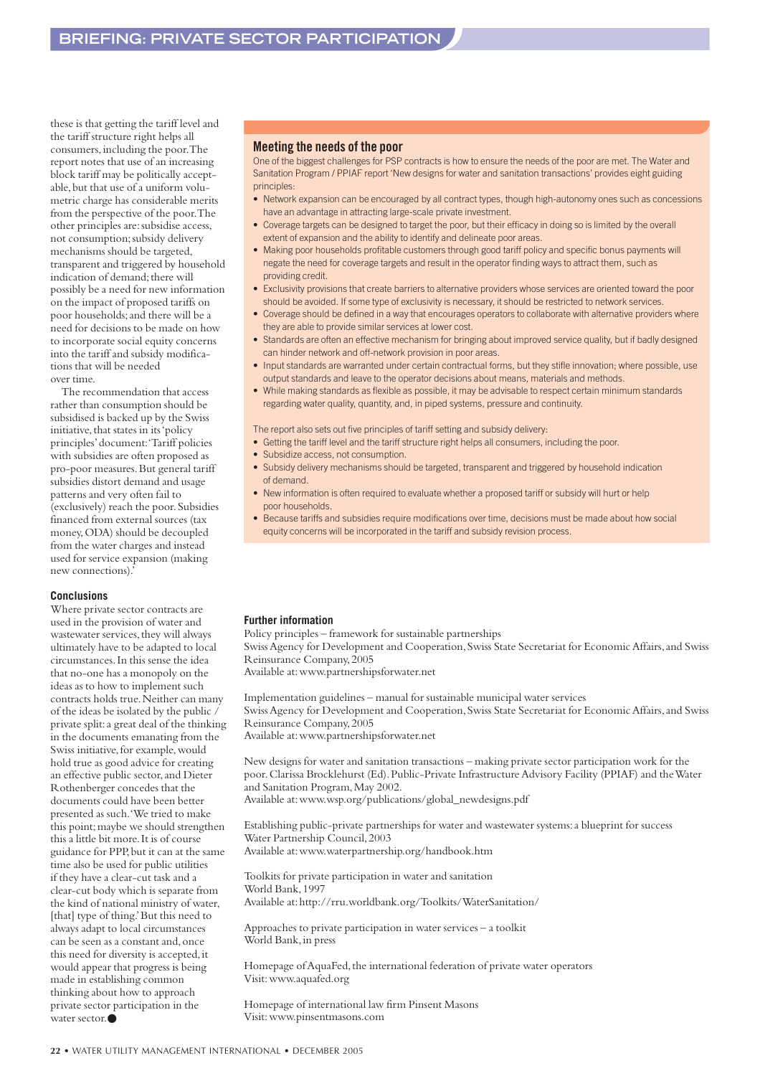these is that getting the tariff level and the tariff structure right helps all consumers,including the poor.The report notes that use of an increasing block tariff may be politically acceptable,but that use of a uniform volumetric charge has considerable merits from the perspective of the poor.The other principles are: subsidise access, not consumption;subsidy delivery mechanisms should be targeted, transparent and triggered by household indication of demand; there will possibly be a need for new information on the impact of proposed tariffs on poor households;and there will be a need for decisions to be made on how to incorporate social equity concerns into the tariff and subsidy modifications that will be needed over time.

The recommendation that access rather than consumption should be subsidised is backed up by the Swiss initiative, that states in its 'policy principles'document:'Tariff policies with subsidies are often proposed as pro-poor measures.But general tariff subsidies distort demand and usage patterns and very often fail to (exclusively) reach the poor.Subsidies financed from external sources (tax money,ODA) should be decoupled from the water charges and instead used for service expansion (making new connections).'

#### **Conclusions**

Where private sector contracts are used in the provision of water and wastewater services, they will always ultimately have to be adapted to local circumstances.In this sense the idea that no-one has a monopoly on the ideas as to how to implement such contracts holds true.Neither can many of the ideas be isolated by the public / private split:a great deal of the thinking in the documents emanating from the Swiss initiative, for example, would hold true as good advice for creating an effective public sector,and Dieter Rothenberger concedes that the documents could have been better presented as such.'We tried to make this point; maybe we should strengthen this a little bit more.It is of course guidance for PPP,but it can at the same time also be used for public utilities if they have a clear-cut task and a clear-cut body which is separate from the kind of national ministry of water, [that] type of thing.' But this need to always adapt to local circumstances can be seen as a constant and, once this need for diversity is accepted,it would appear that progress is being made in establishing common thinking about how to approach private sector participation in the water sector.●

#### **Meeting the needs of the poor**

One of the biggest challenges for PSP contracts is how to ensure the needs of the poor are met. The Water and Sanitation Program / PPIAF report 'New designs for water and sanitation transactions' provides eight guiding principles:

- Network expansion can be encouraged by all contract types, though high-autonomy ones such as concessions have an advantage in attracting large-scale private investment.
- Coverage targets can be designed to target the poor, but their efficacy in doing so is limited by the overall extent of expansion and the ability to identify and delineate poor areas.
- Making poor households profitable customers through good tariff policy and specific bonus payments will negate the need for coverage targets and result in the operator finding ways to attract them, such as providing credit.
- Exclusivity provisions that create barriers to alternative providers whose services are oriented toward the poor should be avoided. If some type of exclusivity is necessary, it should be restricted to network services.
- Coverage should be defined in a way that encourages operators to collaborate with alternative providers where they are able to provide similar services at lower cost.
- Standards are often an effective mechanism for bringing about improved service quality, but if badly designed can hinder network and off-network provision in poor areas.
- Input standards are warranted under certain contractual forms, but they stifle innovation; where possible, use output standards and leave to the operator decisions about means, materials and methods.
- While making standards as flexible as possible, it may be advisable to respect certain minimum standards regarding water quality, quantity, and, in piped systems, pressure and continuity.

The report also sets out five principles of tariff setting and subsidy delivery:

- Getting the tariff level and the tariff structure right helps all consumers, including the poor.
- Subsidize access, not consumption.
- Subsidy delivery mechanisms should be targeted, transparent and triggered by household indication of demand.
- New information is often required to evaluate whether a proposed tariff or subsidy will hurt or help poor households.
- Because tariffs and subsidies require modifications over time, decisions must be made about how social equity concerns will be incorporated in the tariff and subsidy revision process.

#### **Further information**

Policy principles – framework for sustainable partnerships Swiss Agency for Development and Cooperation, Swiss State Secretariat for Economic Affairs, and Swiss Reinsurance Company,2005 Available at:www.partnershipsforwater.net

Implementation guidelines – manual for sustainable municipal water services Swiss Agency for Development and Cooperation, Swiss State Secretariat for Economic Affairs, and Swiss Reinsurance Company,2005 Available at:www.partnershipsforwater.net

New designs for water and sanitation transactions – making private sector participation work for the poor.Clarissa Brocklehurst (Ed).Public-Private Infrastructure Advisory Facility (PPIAF) and the Water and Sanitation Program, May 2002. Available at:www.wsp.org/publications/global\_newdesigns.pdf

Establishing public-private partnerships for water and wastewater systems:a blueprint for success Water Partnership Council,2003

Available at:www.waterpartnership.org/handbook.htm

Toolkits for private participation in water and sanitation World Bank,1997 Available at:http://rru.worldbank.org/Toolkits/WaterSanitation/

Approaches to private participation in water services – a toolkit World Bank, in press

Homepage of AquaFed, the international federation of private water operators Visit:www.aquafed.org

Homepage of international law firm Pinsent Masons Visit:www.pinsentmasons.com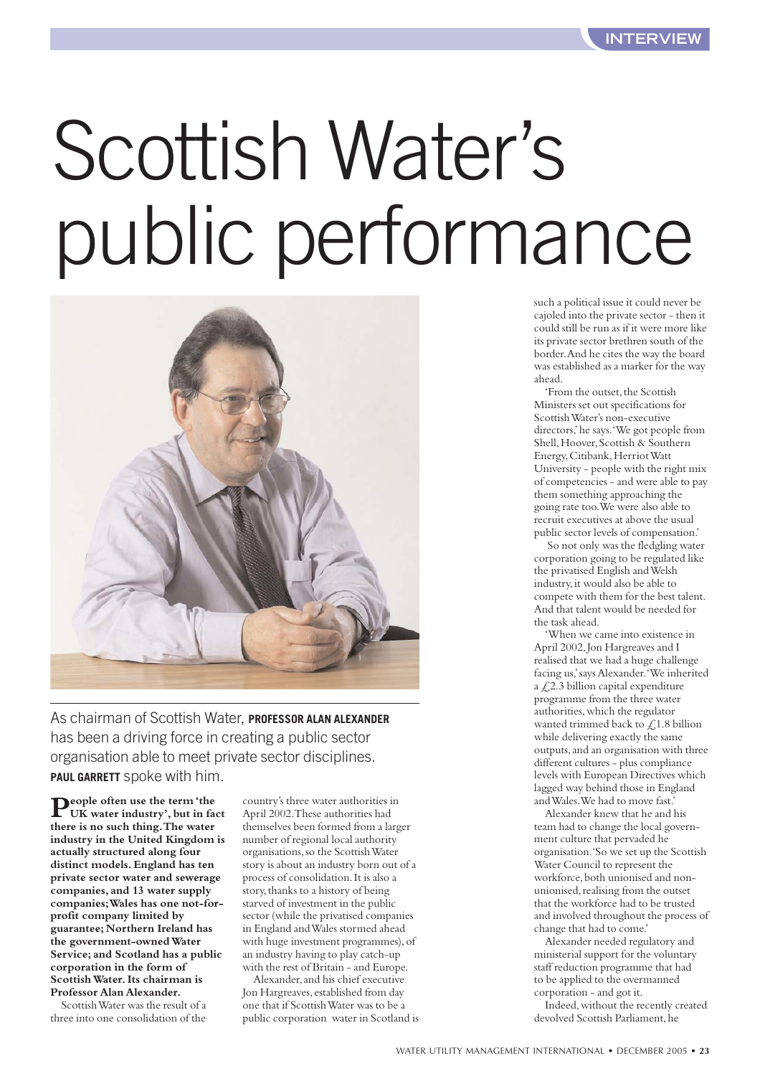# Scottish Water's public performance



As chairman of Scottish Water, **PROFESSOR ALAN ALEXANDER** has been a driving force in creating a public sector organisation able to meet private sector disciplines. **PAUL GARRETT** spoke with him.

**People often use the term 'the UK water industry', but in fact there is no such thing.The water industry in the United Kingdom is actually structured along four distinct models. England has ten private sector water and sewerage companies, and 13 water supply companies;Wales has one not-forprofit company limited by guarantee; Northern Ireland has the government-owned Water Service; and Scotland has a public corporation in the form of Scottish Water.Its chairman is Professor Alan Alexander.**

Scottish Water was the result of a three into one consolidation of the country's three water authorities in April 2002.These authorities had themselves been formed from a larger number of regional local authority organisations,so the Scottish Water story is about an industry born out of a process of consolidation.It is also a story,thanks to a history of being starved of investment in the public sector (while the privatised companies in England and Wales stormed ahead with huge investment programmes), of an industry having to play catch-up with the rest of Britain - and Europe.

Alexander,and his chief executive Jon Hargreaves, established from day one that if Scottish Water was to be a public corporation water in Scotland is

such a political issue it could never be cajoled into the private sector - then it could still be run as if it were more like its private sector brethren south of the border.And he cites the way the board was established as a marker for the way ahead.

'From the outset, the Scottish Ministers set out specifications for Scottish Water's non-executive directors,'he says.'We got people from Shell, Hoover, Scottish & Southern Energy, Citibank, Herriot Watt University - people with the right mix of competencies - and were able to pay them something approaching the going rate too.We were also able to recruit executives at above the usual public sector levels of compensation.'

So not only was the fledgling water corporation going to be regulated like the privatised English and Welsh industry,it would also be able to compete with them for the best talent. And that talent would be needed for the task ahead.

'When we came into existence in April 2002,Jon Hargreaves and I realised that we had a huge challenge facing us,'says Alexander.'We inherited a  $\text{\textsterling}2.3$  billion capital expenditure programme from the three water authorities,which the regulator wanted trimmed back to  $\angle$  1.8 billion while delivering exactly the same outputs,and an organisation with three different cultures - plus compliance levels with European Directives which lagged way behind those in England and Wales.We had to move fast.'

Alexander knew that he and his team had to change the local government culture that pervaded he organisation.'So we set up the Scottish Water Council to represent the workforce, both unionised and nonunionised, realising from the outset that the workforce had to be trusted and involved throughout the process of change that had to come.'

Alexander needed regulatory and ministerial support for the voluntary staff reduction programme that had to be applied to the overmanned corporation - and got it.

Indeed,without the recently created devolved Scottish Parliament, he